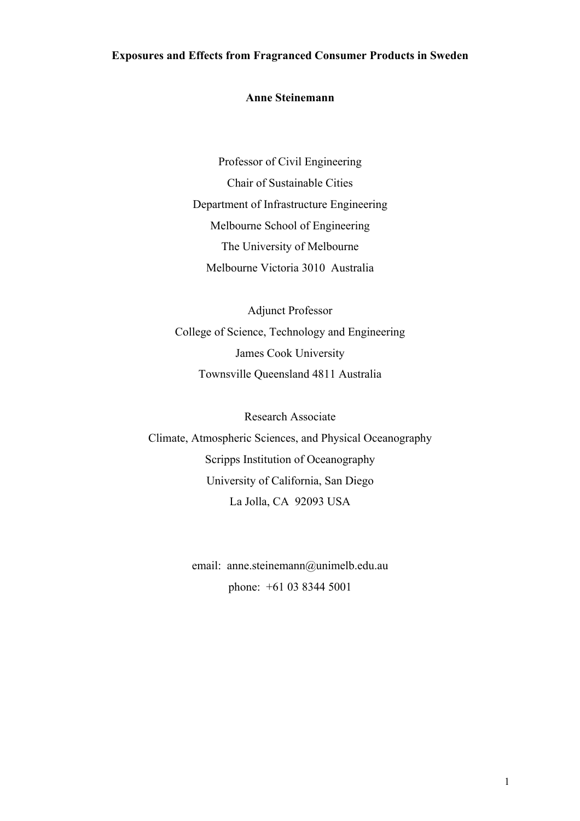## **Exposures and Effects from Fragranced Consumer Products in Sweden**

#### **Anne Steinemann**

Professor of Civil Engineering Chair of Sustainable Cities Department of Infrastructure Engineering Melbourne School of Engineering The University of Melbourne Melbourne Victoria 3010 Australia

Adjunct Professor College of Science, Technology and Engineering James Cook University Townsville Queensland 4811 Australia

Research Associate Climate, Atmospheric Sciences, and Physical Oceanography Scripps Institution of Oceanography University of California, San Diego La Jolla, CA 92093 USA

> email: anne.steinemann@unimelb.edu.au phone: +61 03 8344 5001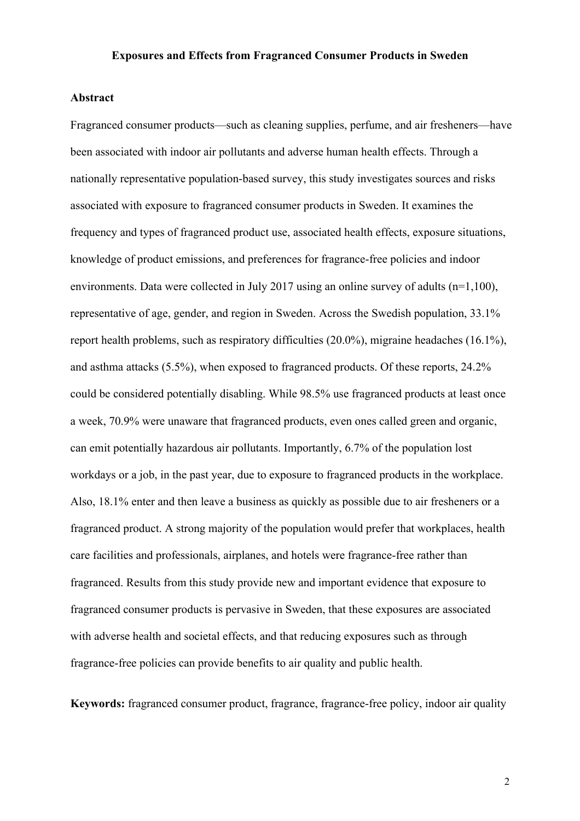## **Exposures and Effects from Fragranced Consumer Products in Sweden**

#### **Abstract**

Fragranced consumer products—such as cleaning supplies, perfume, and air fresheners—have been associated with indoor air pollutants and adverse human health effects. Through a nationally representative population-based survey, this study investigates sources and risks associated with exposure to fragranced consumer products in Sweden. It examines the frequency and types of fragranced product use, associated health effects, exposure situations, knowledge of product emissions, and preferences for fragrance-free policies and indoor environments. Data were collected in July 2017 using an online survey of adults (n=1,100), representative of age, gender, and region in Sweden. Across the Swedish population, 33.1% report health problems, such as respiratory difficulties (20.0%), migraine headaches (16.1%), and asthma attacks (5.5%), when exposed to fragranced products. Of these reports, 24.2% could be considered potentially disabling. While 98.5% use fragranced products at least once a week, 70.9% were unaware that fragranced products, even ones called green and organic, can emit potentially hazardous air pollutants. Importantly, 6.7% of the population lost workdays or a job, in the past year, due to exposure to fragranced products in the workplace. Also, 18.1% enter and then leave a business as quickly as possible due to air fresheners or a fragranced product. A strong majority of the population would prefer that workplaces, health care facilities and professionals, airplanes, and hotels were fragrance-free rather than fragranced. Results from this study provide new and important evidence that exposure to fragranced consumer products is pervasive in Sweden, that these exposures are associated with adverse health and societal effects, and that reducing exposures such as through fragrance-free policies can provide benefits to air quality and public health.

**Keywords:** fragranced consumer product, fragrance, fragrance-free policy, indoor air quality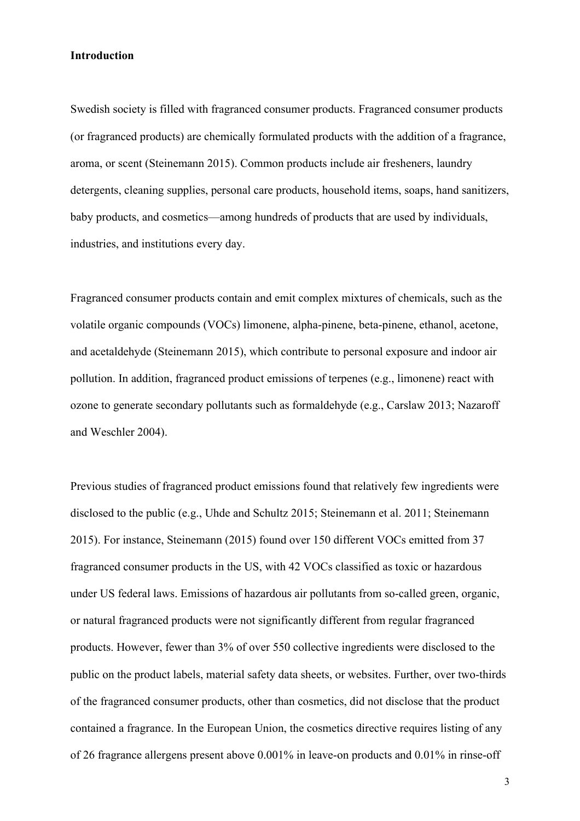#### **Introduction**

Swedish society is filled with fragranced consumer products. Fragranced consumer products (or fragranced products) are chemically formulated products with the addition of a fragrance, aroma, or scent (Steinemann 2015). Common products include air fresheners, laundry detergents, cleaning supplies, personal care products, household items, soaps, hand sanitizers, baby products, and cosmetics—among hundreds of products that are used by individuals, industries, and institutions every day.

Fragranced consumer products contain and emit complex mixtures of chemicals, such as the volatile organic compounds (VOCs) limonene, alpha-pinene, beta-pinene, ethanol, acetone, and acetaldehyde (Steinemann 2015), which contribute to personal exposure and indoor air pollution. In addition, fragranced product emissions of terpenes (e.g., limonene) react with ozone to generate secondary pollutants such as formaldehyde (e.g., Carslaw 2013; Nazaroff and Weschler 2004).

Previous studies of fragranced product emissions found that relatively few ingredients were disclosed to the public (e.g., Uhde and Schultz 2015; Steinemann et al. 2011; Steinemann 2015). For instance, Steinemann (2015) found over 150 different VOCs emitted from 37 fragranced consumer products in the US, with 42 VOCs classified as toxic or hazardous under US federal laws. Emissions of hazardous air pollutants from so-called green, organic, or natural fragranced products were not significantly different from regular fragranced products. However, fewer than 3% of over 550 collective ingredients were disclosed to the public on the product labels, material safety data sheets, or websites. Further, over two-thirds of the fragranced consumer products, other than cosmetics, did not disclose that the product contained a fragrance. In the European Union, the cosmetics directive requires listing of any of 26 fragrance allergens present above 0.001% in leave-on products and 0.01% in rinse-off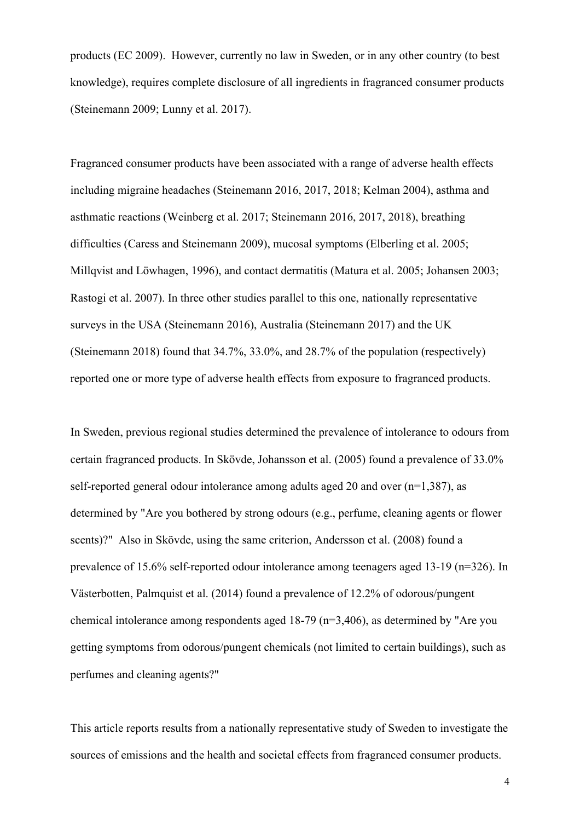products (EC 2009). However, currently no law in Sweden, or in any other country (to best knowledge), requires complete disclosure of all ingredients in fragranced consumer products (Steinemann 2009; Lunny et al. 2017).

Fragranced consumer products have been associated with a range of adverse health effects including migraine headaches (Steinemann 2016, 2017, 2018; Kelman 2004), asthma and asthmatic reactions (Weinberg et al. 2017; Steinemann 2016, 2017, 2018), breathing difficulties (Caress and Steinemann 2009), mucosal symptoms (Elberling et al. 2005; Millqvist and Löwhagen, 1996), and contact dermatitis (Matura et al. 2005; Johansen 2003; Rastogi et al. 2007). In three other studies parallel to this one, nationally representative surveys in the USA (Steinemann 2016), Australia (Steinemann 2017) and the UK (Steinemann 2018) found that 34.7%, 33.0%, and 28.7% of the population (respectively) reported one or more type of adverse health effects from exposure to fragranced products.

In Sweden, previous regional studies determined the prevalence of intolerance to odours from certain fragranced products. In Skövde, Johansson et al. (2005) found a prevalence of 33.0% self-reported general odour intolerance among adults aged 20 and over (n=1,387), as determined by "Are you bothered by strong odours (e.g., perfume, cleaning agents or flower scents)?" Also in Skövde, using the same criterion, Andersson et al. (2008) found a prevalence of 15.6% self-reported odour intolerance among teenagers aged 13-19 (n=326). In Västerbotten, Palmquist et al. (2014) found a prevalence of 12.2% of odorous/pungent chemical intolerance among respondents aged 18-79 (n=3,406), as determined by "Are you getting symptoms from odorous/pungent chemicals (not limited to certain buildings), such as perfumes and cleaning agents?"

This article reports results from a nationally representative study of Sweden to investigate the sources of emissions and the health and societal effects from fragranced consumer products.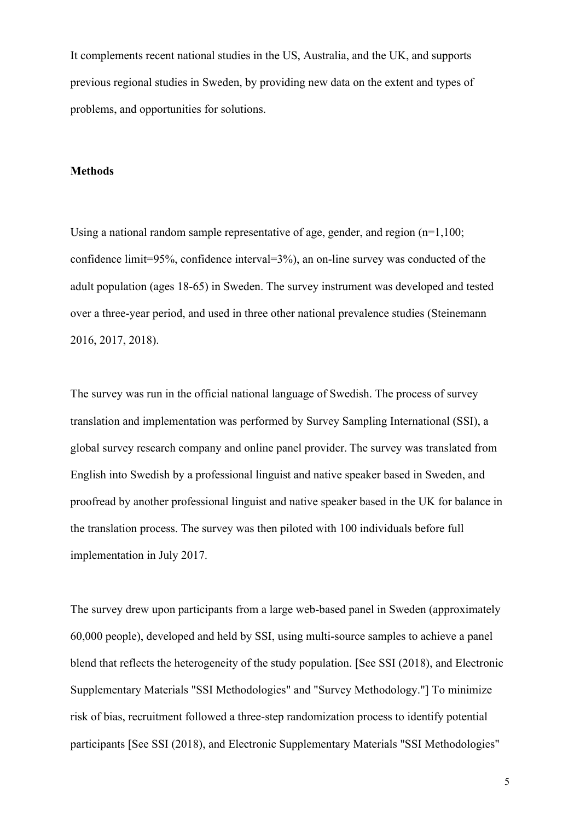It complements recent national studies in the US, Australia, and the UK, and supports previous regional studies in Sweden, by providing new data on the extent and types of problems, and opportunities for solutions.

#### **Methods**

Using a national random sample representative of age, gender, and region  $(n=1.100)$ ; confidence limit=95%, confidence interval=3%), an on-line survey was conducted of the adult population (ages 18-65) in Sweden. The survey instrument was developed and tested over a three-year period, and used in three other national prevalence studies (Steinemann 2016, 2017, 2018).

The survey was run in the official national language of Swedish. The process of survey translation and implementation was performed by Survey Sampling International (SSI), a global survey research company and online panel provider. The survey was translated from English into Swedish by a professional linguist and native speaker based in Sweden, and proofread by another professional linguist and native speaker based in the UK for balance in the translation process. The survey was then piloted with 100 individuals before full implementation in July 2017.

The survey drew upon participants from a large web-based panel in Sweden (approximately 60,000 people), developed and held by SSI, using multi-source samples to achieve a panel blend that reflects the heterogeneity of the study population. [See SSI (2018), and Electronic Supplementary Materials "SSI Methodologies" and "Survey Methodology."] To minimize risk of bias, recruitment followed a three-step randomization process to identify potential participants [See SSI (2018), and Electronic Supplementary Materials "SSI Methodologies"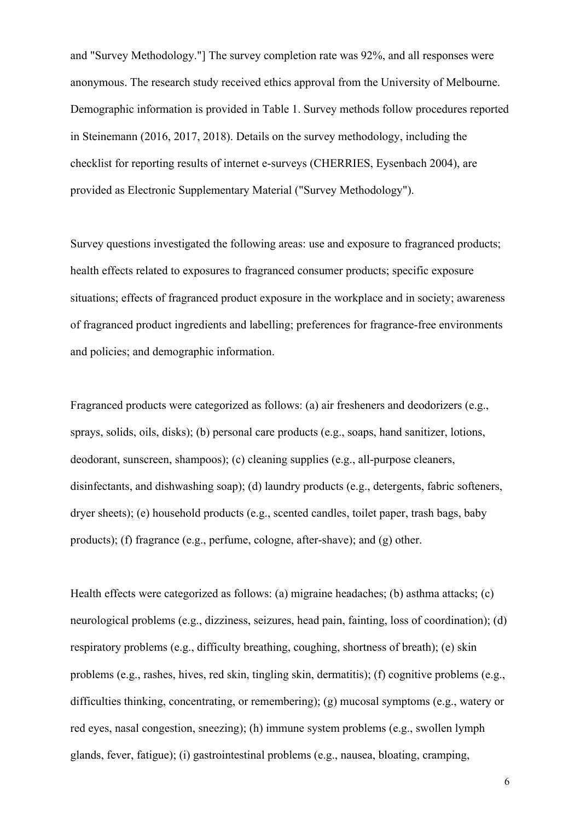and "Survey Methodology."] The survey completion rate was 92%, and all responses were anonymous. The research study received ethics approval from the University of Melbourne. Demographic information is provided in Table 1. Survey methods follow procedures reported in Steinemann (2016, 2017, 2018). Details on the survey methodology, including the checklist for reporting results of internet e-surveys (CHERRIES, Eysenbach 2004), are provided as Electronic Supplementary Material ("Survey Methodology").

Survey questions investigated the following areas: use and exposure to fragranced products; health effects related to exposures to fragranced consumer products; specific exposure situations; effects of fragranced product exposure in the workplace and in society; awareness of fragranced product ingredients and labelling; preferences for fragrance-free environments and policies; and demographic information.

Fragranced products were categorized as follows: (a) air fresheners and deodorizers (e.g., sprays, solids, oils, disks); (b) personal care products (e.g., soaps, hand sanitizer, lotions, deodorant, sunscreen, shampoos); (c) cleaning supplies (e.g., all-purpose cleaners, disinfectants, and dishwashing soap); (d) laundry products (e.g., detergents, fabric softeners, dryer sheets); (e) household products (e.g., scented candles, toilet paper, trash bags, baby products); (f) fragrance (e.g., perfume, cologne, after-shave); and (g) other.

Health effects were categorized as follows: (a) migraine headaches; (b) asthma attacks; (c) neurological problems (e.g., dizziness, seizures, head pain, fainting, loss of coordination); (d) respiratory problems (e.g., difficulty breathing, coughing, shortness of breath); (e) skin problems (e.g., rashes, hives, red skin, tingling skin, dermatitis); (f) cognitive problems (e.g., difficulties thinking, concentrating, or remembering); (g) mucosal symptoms (e.g., watery or red eyes, nasal congestion, sneezing); (h) immune system problems (e.g., swollen lymph glands, fever, fatigue); (i) gastrointestinal problems (e.g., nausea, bloating, cramping,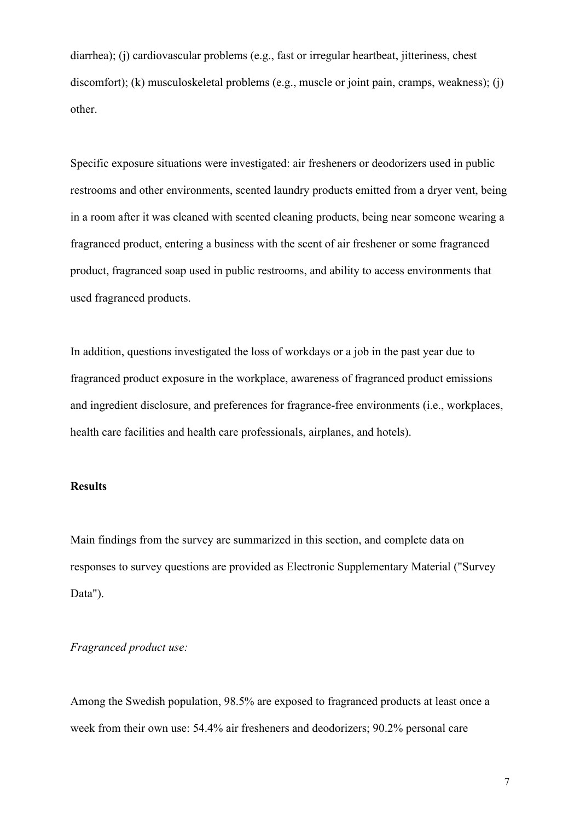diarrhea); (j) cardiovascular problems (e.g., fast or irregular heartbeat, jitteriness, chest discomfort); (k) musculoskeletal problems (e.g., muscle or joint pain, cramps, weakness); (j) other.

Specific exposure situations were investigated: air fresheners or deodorizers used in public restrooms and other environments, scented laundry products emitted from a dryer vent, being in a room after it was cleaned with scented cleaning products, being near someone wearing a fragranced product, entering a business with the scent of air freshener or some fragranced product, fragranced soap used in public restrooms, and ability to access environments that used fragranced products.

In addition, questions investigated the loss of workdays or a job in the past year due to fragranced product exposure in the workplace, awareness of fragranced product emissions and ingredient disclosure, and preferences for fragrance-free environments (i.e., workplaces, health care facilities and health care professionals, airplanes, and hotels).

## **Results**

Main findings from the survey are summarized in this section, and complete data on responses to survey questions are provided as Electronic Supplementary Material ("Survey Data").

#### *Fragranced product use:*

Among the Swedish population, 98.5% are exposed to fragranced products at least once a week from their own use: 54.4% air fresheners and deodorizers; 90.2% personal care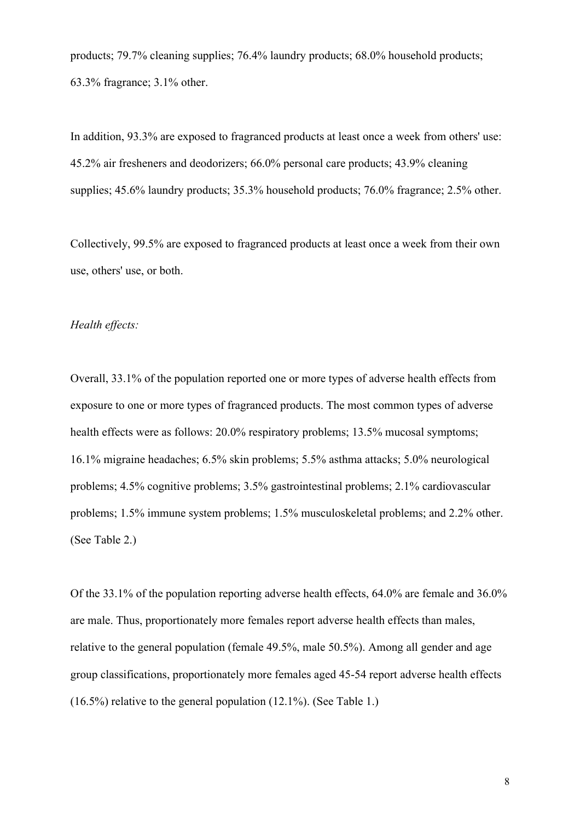products; 79.7% cleaning supplies; 76.4% laundry products; 68.0% household products; 63.3% fragrance; 3.1% other.

In addition, 93.3% are exposed to fragranced products at least once a week from others' use: 45.2% air fresheners and deodorizers; 66.0% personal care products; 43.9% cleaning supplies; 45.6% laundry products; 35.3% household products; 76.0% fragrance; 2.5% other.

Collectively, 99.5% are exposed to fragranced products at least once a week from their own use, others' use, or both.

#### *Health effects:*

Overall, 33.1% of the population reported one or more types of adverse health effects from exposure to one or more types of fragranced products. The most common types of adverse health effects were as follows: 20.0% respiratory problems; 13.5% mucosal symptoms; 16.1% migraine headaches; 6.5% skin problems; 5.5% asthma attacks; 5.0% neurological problems; 4.5% cognitive problems; 3.5% gastrointestinal problems; 2.1% cardiovascular problems; 1.5% immune system problems; 1.5% musculoskeletal problems; and 2.2% other. (See Table 2.)

Of the 33.1% of the population reporting adverse health effects, 64.0% are female and 36.0% are male. Thus, proportionately more females report adverse health effects than males, relative to the general population (female 49.5%, male 50.5%). Among all gender and age group classifications, proportionately more females aged 45-54 report adverse health effects (16.5%) relative to the general population (12.1%). (See Table 1.)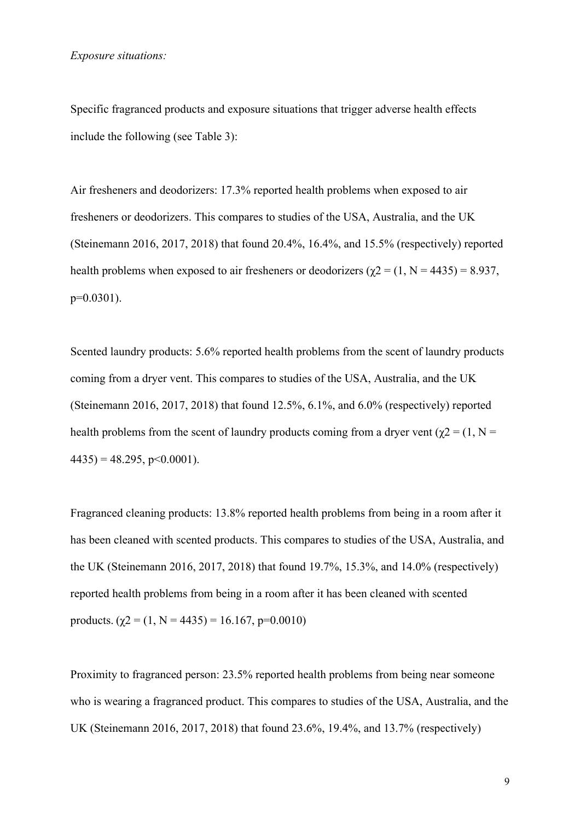Specific fragranced products and exposure situations that trigger adverse health effects include the following (see Table 3):

Air fresheners and deodorizers: 17.3% reported health problems when exposed to air fresheners or deodorizers. This compares to studies of the USA, Australia, and the UK (Steinemann 2016, 2017, 2018) that found 20.4%, 16.4%, and 15.5% (respectively) reported health problems when exposed to air fresheners or deodorizers ( $\gamma$ 2 = (1, N = 4435) = 8.937, p=0.0301).

Scented laundry products: 5.6% reported health problems from the scent of laundry products coming from a dryer vent. This compares to studies of the USA, Australia, and the UK (Steinemann 2016, 2017, 2018) that found 12.5%, 6.1%, and 6.0% (respectively) reported health problems from the scent of laundry products coming from a dryer vent ( $\gamma$ 2 = (1, N =  $4435$ ) = 48.295, p < 0.0001).

Fragranced cleaning products: 13.8% reported health problems from being in a room after it has been cleaned with scented products. This compares to studies of the USA, Australia, and the UK (Steinemann 2016, 2017, 2018) that found 19.7%, 15.3%, and 14.0% (respectively) reported health problems from being in a room after it has been cleaned with scented products. ( $\chi$ 2 = (1, N = 4435) = 16.167, p=0.0010)

Proximity to fragranced person: 23.5% reported health problems from being near someone who is wearing a fragranced product. This compares to studies of the USA, Australia, and the UK (Steinemann 2016, 2017, 2018) that found 23.6%, 19.4%, and 13.7% (respectively)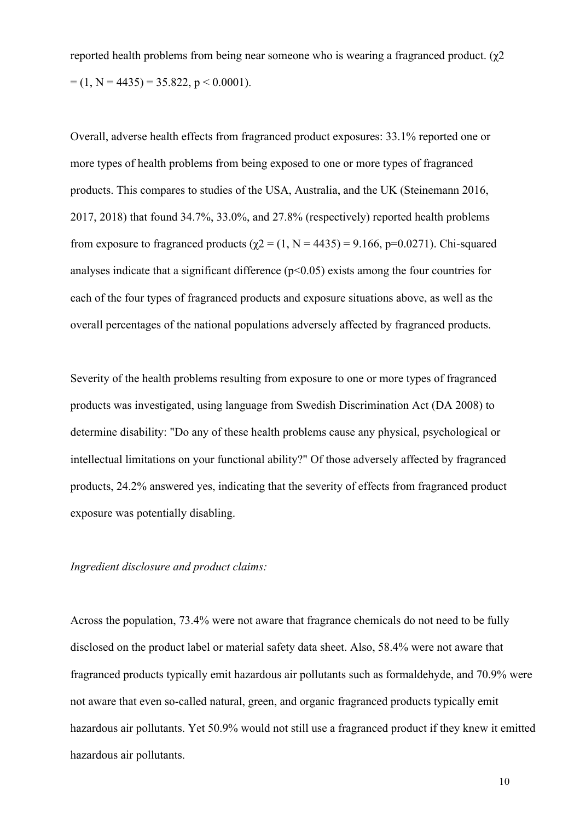reported health problems from being near someone who is wearing a fragranced product. (χ2  $= (1, N = 4435) = 35.822, p < 0.0001$ .

Overall, adverse health effects from fragranced product exposures: 33.1% reported one or more types of health problems from being exposed to one or more types of fragranced products. This compares to studies of the USA, Australia, and the UK (Steinemann 2016, 2017, 2018) that found 34.7%, 33.0%, and 27.8% (respectively) reported health problems from exposure to fragranced products ( $\chi$ 2 = (1, N = 4435) = 9.166, p=0.0271). Chi-squared analyses indicate that a significant difference  $(p<0.05)$  exists among the four countries for each of the four types of fragranced products and exposure situations above, as well as the overall percentages of the national populations adversely affected by fragranced products.

Severity of the health problems resulting from exposure to one or more types of fragranced products was investigated, using language from Swedish Discrimination Act (DA 2008) to determine disability: "Do any of these health problems cause any physical, psychological or intellectual limitations on your functional ability?" Of those adversely affected by fragranced products, 24.2% answered yes, indicating that the severity of effects from fragranced product exposure was potentially disabling.

#### *Ingredient disclosure and product claims:*

Across the population, 73.4% were not aware that fragrance chemicals do not need to be fully disclosed on the product label or material safety data sheet. Also, 58.4% were not aware that fragranced products typically emit hazardous air pollutants such as formaldehyde, and 70.9% were not aware that even so-called natural, green, and organic fragranced products typically emit hazardous air pollutants. Yet 50.9% would not still use a fragranced product if they knew it emitted hazardous air pollutants.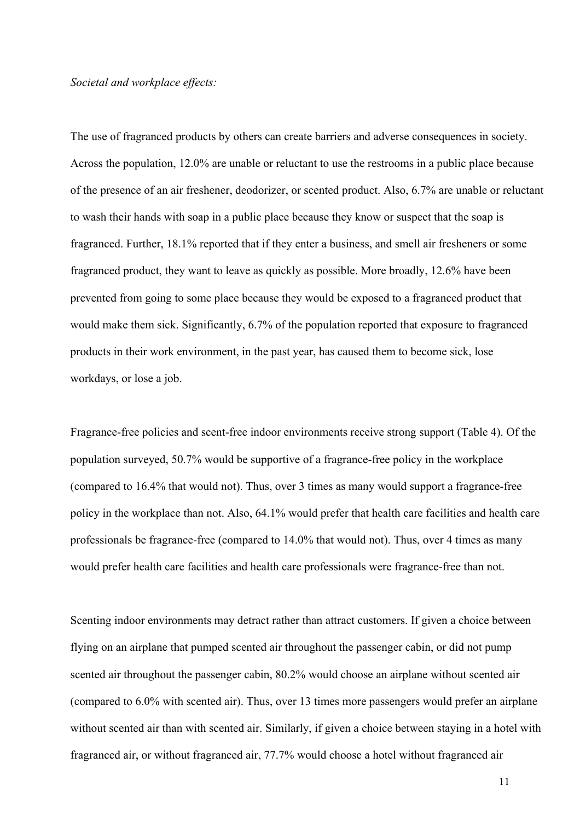#### *Societal and workplace effects:*

The use of fragranced products by others can create barriers and adverse consequences in society. Across the population, 12.0% are unable or reluctant to use the restrooms in a public place because of the presence of an air freshener, deodorizer, or scented product. Also, 6.7% are unable or reluctant to wash their hands with soap in a public place because they know or suspect that the soap is fragranced. Further, 18.1% reported that if they enter a business, and smell air fresheners or some fragranced product, they want to leave as quickly as possible. More broadly, 12.6% have been prevented from going to some place because they would be exposed to a fragranced product that would make them sick. Significantly, 6.7% of the population reported that exposure to fragranced products in their work environment, in the past year, has caused them to become sick, lose workdays, or lose a job.

Fragrance-free policies and scent-free indoor environments receive strong support (Table 4). Of the population surveyed, 50.7% would be supportive of a fragrance-free policy in the workplace (compared to 16.4% that would not). Thus, over 3 times as many would support a fragrance-free policy in the workplace than not. Also, 64.1% would prefer that health care facilities and health care professionals be fragrance-free (compared to 14.0% that would not). Thus, over 4 times as many would prefer health care facilities and health care professionals were fragrance-free than not.

Scenting indoor environments may detract rather than attract customers. If given a choice between flying on an airplane that pumped scented air throughout the passenger cabin, or did not pump scented air throughout the passenger cabin, 80.2% would choose an airplane without scented air (compared to 6.0% with scented air). Thus, over 13 times more passengers would prefer an airplane without scented air than with scented air. Similarly, if given a choice between staying in a hotel with fragranced air, or without fragranced air, 77.7% would choose a hotel without fragranced air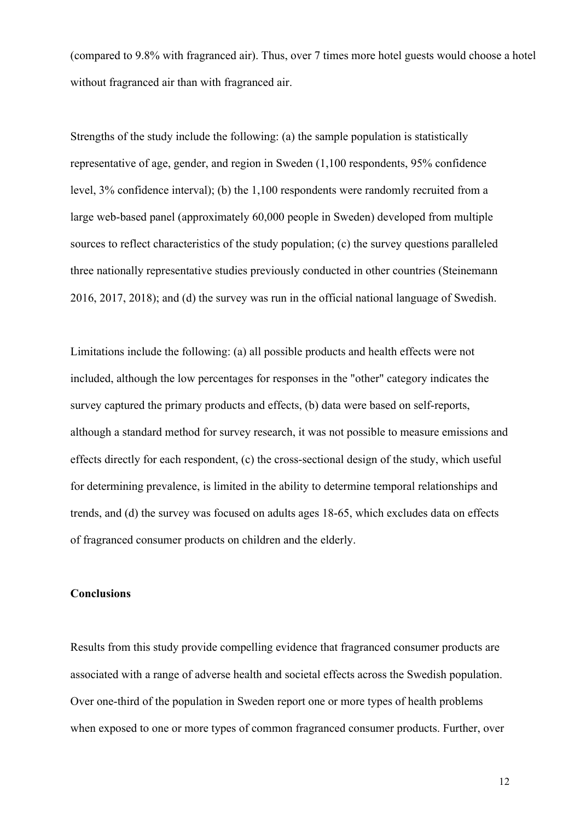(compared to 9.8% with fragranced air). Thus, over 7 times more hotel guests would choose a hotel without fragranced air than with fragranced air.

Strengths of the study include the following: (a) the sample population is statistically representative of age, gender, and region in Sweden (1,100 respondents, 95% confidence level, 3% confidence interval); (b) the 1,100 respondents were randomly recruited from a large web-based panel (approximately 60,000 people in Sweden) developed from multiple sources to reflect characteristics of the study population; (c) the survey questions paralleled three nationally representative studies previously conducted in other countries (Steinemann 2016, 2017, 2018); and (d) the survey was run in the official national language of Swedish.

Limitations include the following: (a) all possible products and health effects were not included, although the low percentages for responses in the "other" category indicates the survey captured the primary products and effects, (b) data were based on self-reports, although a standard method for survey research, it was not possible to measure emissions and effects directly for each respondent, (c) the cross-sectional design of the study, which useful for determining prevalence, is limited in the ability to determine temporal relationships and trends, and (d) the survey was focused on adults ages 18-65, which excludes data on effects of fragranced consumer products on children and the elderly.

## **Conclusions**

Results from this study provide compelling evidence that fragranced consumer products are associated with a range of adverse health and societal effects across the Swedish population. Over one-third of the population in Sweden report one or more types of health problems when exposed to one or more types of common fragranced consumer products. Further, over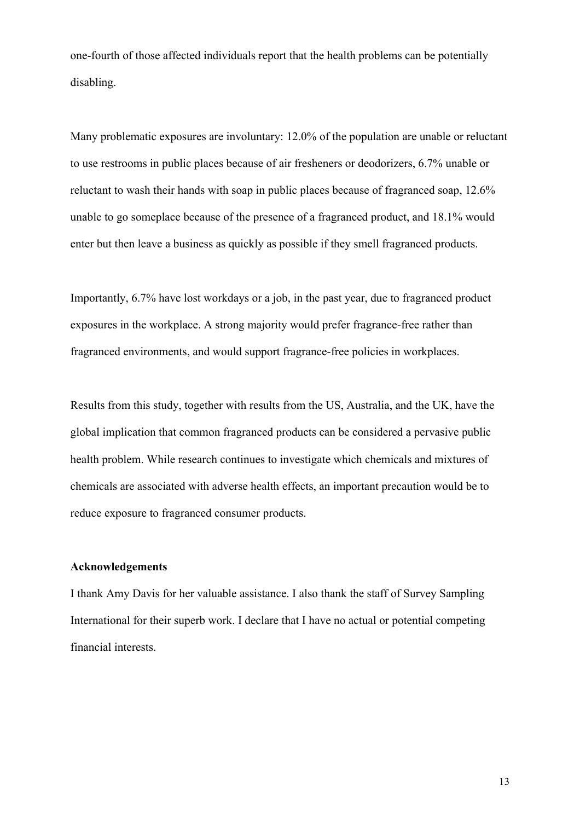one-fourth of those affected individuals report that the health problems can be potentially disabling.

Many problematic exposures are involuntary: 12.0% of the population are unable or reluctant to use restrooms in public places because of air fresheners or deodorizers, 6.7% unable or reluctant to wash their hands with soap in public places because of fragranced soap, 12.6% unable to go someplace because of the presence of a fragranced product, and 18.1% would enter but then leave a business as quickly as possible if they smell fragranced products.

Importantly, 6.7% have lost workdays or a job, in the past year, due to fragranced product exposures in the workplace. A strong majority would prefer fragrance-free rather than fragranced environments, and would support fragrance-free policies in workplaces.

Results from this study, together with results from the US, Australia, and the UK, have the global implication that common fragranced products can be considered a pervasive public health problem. While research continues to investigate which chemicals and mixtures of chemicals are associated with adverse health effects, an important precaution would be to reduce exposure to fragranced consumer products.

#### **Acknowledgements**

I thank Amy Davis for her valuable assistance. I also thank the staff of Survey Sampling International for their superb work. I declare that I have no actual or potential competing financial interests.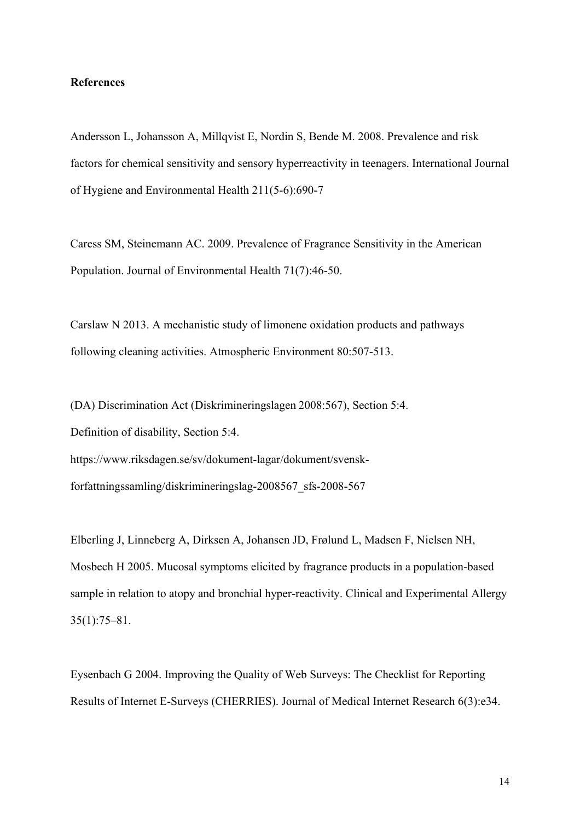#### **References**

Andersson L, Johansson A, Millqvist E, Nordin S, Bende M. 2008. Prevalence and risk factors for chemical sensitivity and sensory hyperreactivity in teenagers. International Journal of Hygiene and Environmental Health 211(5-6):690-7

Caress SM, Steinemann AC. 2009. Prevalence of Fragrance Sensitivity in the American Population. Journal of Environmental Health 71(7):46-50.

Carslaw N 2013. A mechanistic study of limonene oxidation products and pathways following cleaning activities. Atmospheric Environment 80:507-513.

(DA) Discrimination Act (Diskrimineringslagen 2008:567), Section 5:4. Definition of disability, Section 5:4. https://www.riksdagen.se/sv/dokument-lagar/dokument/svenskforfattningssamling/diskrimineringslag-2008567\_sfs-2008-567

Elberling J, Linneberg A, Dirksen A, Johansen JD, Frølund L, Madsen F, Nielsen NH, Mosbech H 2005. Mucosal symptoms elicited by fragrance products in a population-based sample in relation to atopy and bronchial hyper-reactivity. Clinical and Experimental Allergy 35(1):75–81.

Eysenbach G 2004. Improving the Quality of Web Surveys: The Checklist for Reporting Results of Internet E-Surveys (CHERRIES). Journal of Medical Internet Research 6(3):e34.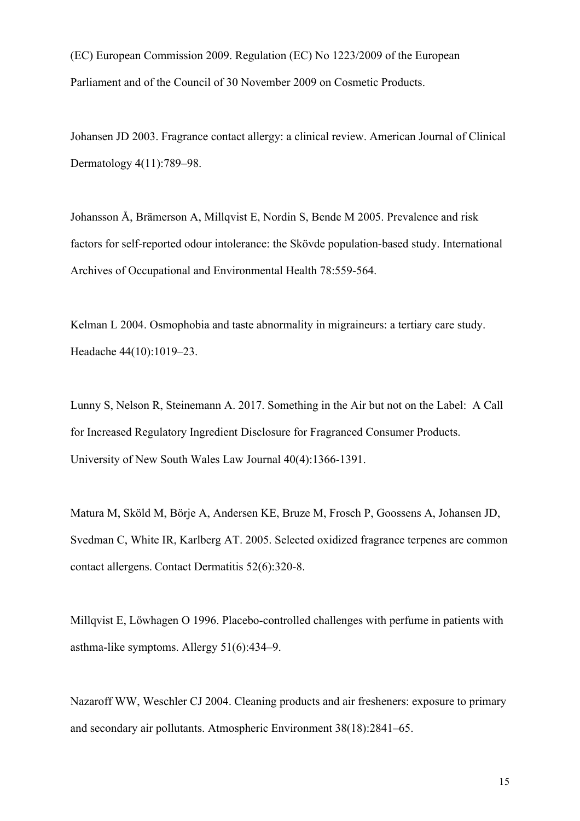(EC) European Commission 2009. Regulation (EC) No 1223/2009 of the European Parliament and of the Council of 30 November 2009 on Cosmetic Products.

Johansen JD 2003. Fragrance contact allergy: a clinical review. American Journal of Clinical Dermatology 4(11):789–98.

Johansson Å, Brämerson A, Millqvist E, Nordin S, Bende M 2005. Prevalence and risk factors for self-reported odour intolerance: the Skövde population-based study. International Archives of Occupational and Environmental Health 78:559-564.

Kelman L 2004. Osmophobia and taste abnormality in migraineurs: a tertiary care study. Headache 44(10):1019–23.

Lunny S, Nelson R, Steinemann A. 2017. Something in the Air but not on the Label: A Call for Increased Regulatory Ingredient Disclosure for Fragranced Consumer Products. University of New South Wales Law Journal 40(4):1366-1391.

Matura M, Sköld M, Börje A, Andersen KE, Bruze M, Frosch P, Goossens A, Johansen JD, Svedman C, White IR, Karlberg AT. 2005. Selected oxidized fragrance terpenes are common contact allergens. Contact Dermatitis 52(6):320-8.

Millqvist E, Löwhagen O 1996. Placebo-controlled challenges with perfume in patients with asthma-like symptoms. Allergy 51(6):434–9.

Nazaroff WW, Weschler CJ 2004. Cleaning products and air fresheners: exposure to primary and secondary air pollutants. Atmospheric Environment 38(18):2841–65.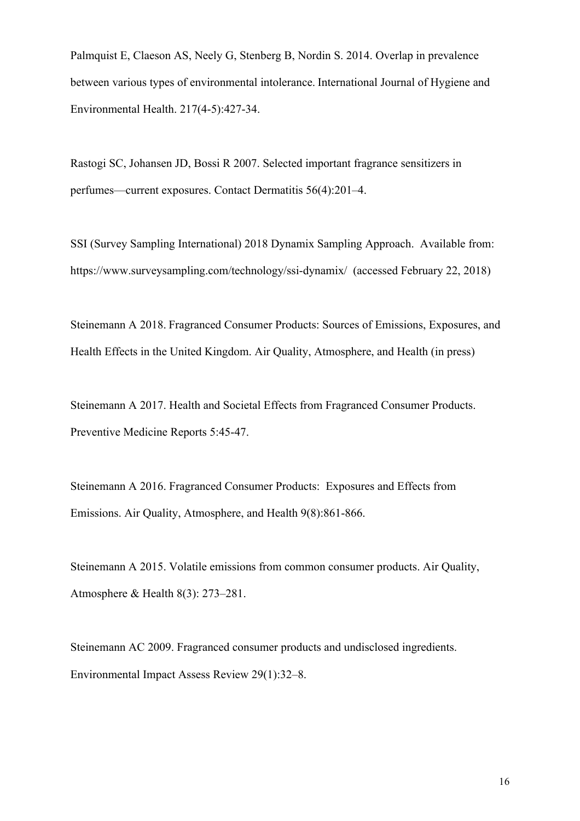Palmquist E, Claeson AS, Neely G, Stenberg B, Nordin S. 2014. Overlap in prevalence between various types of environmental intolerance. International Journal of Hygiene and Environmental Health. 217(4-5):427-34.

Rastogi SC, Johansen JD, Bossi R 2007. Selected important fragrance sensitizers in perfumes—current exposures. Contact Dermatitis 56(4):201–4.

SSI (Survey Sampling International) 2018 Dynamix Sampling Approach. Available from: https://www.surveysampling.com/technology/ssi-dynamix/ (accessed February 22, 2018)

Steinemann A 2018. Fragranced Consumer Products: Sources of Emissions, Exposures, and Health Effects in the United Kingdom. Air Quality, Atmosphere, and Health (in press)

Steinemann A 2017. Health and Societal Effects from Fragranced Consumer Products. Preventive Medicine Reports 5:45-47.

Steinemann A 2016. Fragranced Consumer Products: Exposures and Effects from Emissions. Air Quality, Atmosphere, and Health 9(8):861-866.

Steinemann A 2015. Volatile emissions from common consumer products. Air Quality, Atmosphere & Health 8(3): 273–281.

Steinemann AC 2009. Fragranced consumer products and undisclosed ingredients. Environmental Impact Assess Review 29(1):32–8.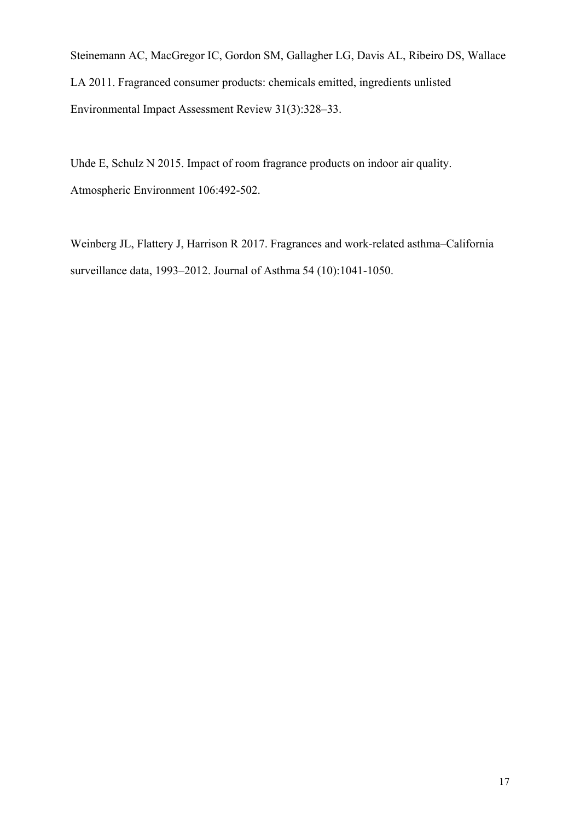Steinemann AC, MacGregor IC, Gordon SM, Gallagher LG, Davis AL, Ribeiro DS, Wallace LA 2011. Fragranced consumer products: chemicals emitted, ingredients unlisted Environmental Impact Assessment Review 31(3):328–33.

Uhde E, Schulz N 2015. Impact of room fragrance products on indoor air quality. Atmospheric Environment 106:492-502.

Weinberg JL, Flattery J, Harrison R 2017. Fragrances and work-related asthma–California surveillance data, 1993–2012. Journal of Asthma 54 (10):1041-1050.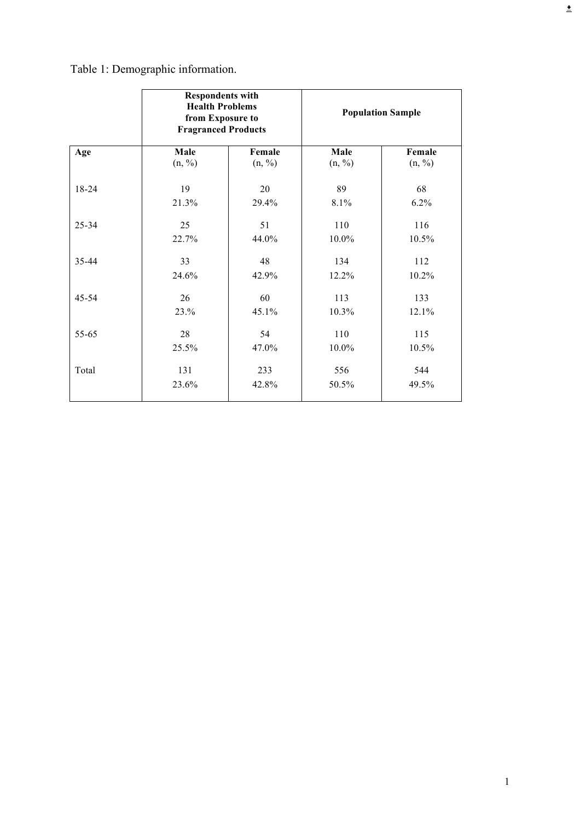Table 1: Demographic information.

|       | <b>Respondents with</b><br><b>Health Problems</b><br>from Exposure to<br><b>Fragranced Products</b> |        | <b>Population Sample</b> |        |
|-------|-----------------------------------------------------------------------------------------------------|--------|--------------------------|--------|
| Age   | Male                                                                                                | Female | Male                     | Female |
|       | (n, %)                                                                                              | (n, %) | (n, %)                   | (n, %) |
| 18-24 | 19                                                                                                  | 20     | 89                       | 68     |
|       | 21.3%                                                                                               | 29.4%  | 8.1%                     | 6.2%   |
| 25-34 | 25                                                                                                  | 51     | 110                      | 116    |
|       | 22.7%                                                                                               | 44.0%  | 10.0%                    | 10.5%  |
| 35-44 | 33                                                                                                  | 48     | 134                      | 112    |
|       | 24.6%                                                                                               | 42.9%  | 12.2%                    | 10.2%  |
| 45-54 | 26                                                                                                  | 60     | 113                      | 133    |
|       | 23.%                                                                                                | 45.1%  | 10.3%                    | 12.1%  |
| 55-65 | 28                                                                                                  | 54     | 110                      | 115    |
|       | 25.5%                                                                                               | 47.0%  | 10.0%                    | 10.5%  |
| Total | 131                                                                                                 | 233    | 556                      | 544    |
|       | 23.6%                                                                                               | 42.8%  | 50.5%                    | 49.5%  |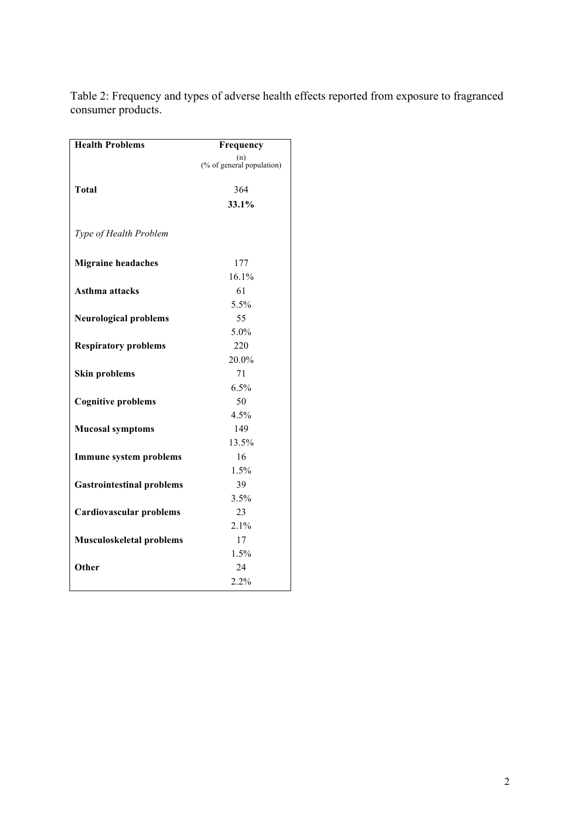| <b>Health Problems</b>           | Frequency                        |
|----------------------------------|----------------------------------|
|                                  | (n)<br>(% of general population) |
|                                  |                                  |
| <b>Total</b>                     | 364                              |
|                                  | 33.1%                            |
|                                  |                                  |
| Type of Health Problem           |                                  |
|                                  |                                  |
| <b>Migraine headaches</b>        | 177                              |
|                                  | 16.1%                            |
| Asthma attacks                   | 61                               |
|                                  | 5.5%                             |
| <b>Neurological problems</b>     | 55                               |
|                                  | 5.0%                             |
| <b>Respiratory problems</b>      | 220                              |
|                                  | 20.0%                            |
| <b>Skin problems</b>             | 71                               |
|                                  | 6.5%                             |
| <b>Cognitive problems</b>        | 50                               |
|                                  | 4.5%                             |
| <b>Mucosal symptoms</b>          | 149                              |
|                                  | 13.5%                            |
| <b>Immune system problems</b>    | 16                               |
|                                  | 1.5%                             |
| <b>Gastrointestinal problems</b> | 39                               |
|                                  | 3.5%                             |
| <b>Cardiovascular problems</b>   | 23                               |
|                                  | 2.1%                             |
| <b>Musculoskeletal problems</b>  | 17                               |
|                                  | 1.5%                             |
| Other                            | 24                               |
|                                  | 2.2%                             |

Table 2: Frequency and types of adverse health effects reported from exposure to fragranced consumer products.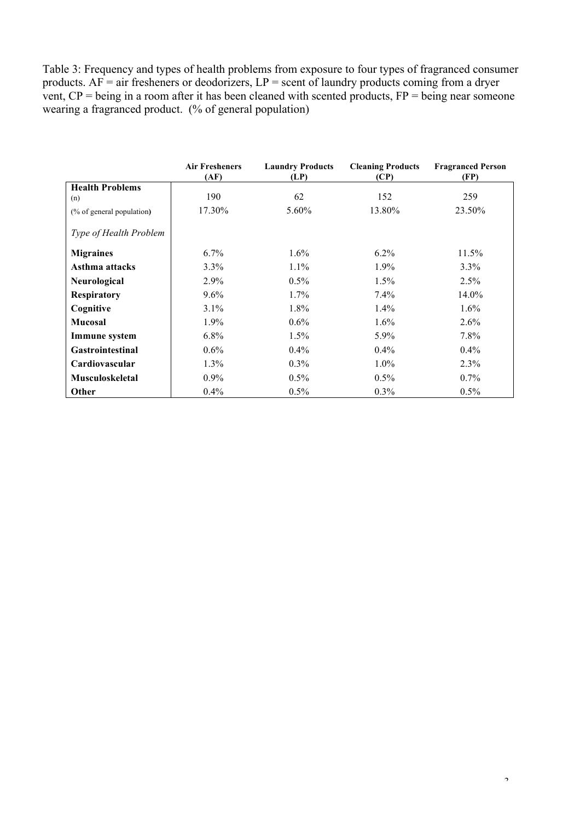Table 3: Frequency and types of health problems from exposure to four types of fragranced consumer products.  $AF = air$  fresheners or deodorizers,  $LP =$  scent of laundry products coming from a dryer vent,  $CP =$  being in a room after it has been cleaned with scented products,  $FP =$  being near someone wearing a fragranced product. (% of general population)

|                               | <b>Air Fresheners</b><br>(AF) | <b>Laundry Products</b><br>(LP) | <b>Cleaning Products</b><br>(CP) | <b>Fragranced Person</b><br>(FP) |
|-------------------------------|-------------------------------|---------------------------------|----------------------------------|----------------------------------|
| <b>Health Problems</b>        |                               |                                 |                                  |                                  |
| (n)                           | 190                           | 62                              | 152                              | 259                              |
| (% of general population)     | 17.30%                        | 5.60%                           | 13.80%                           | 23.50%                           |
| <i>Type of Health Problem</i> |                               |                                 |                                  |                                  |
| <b>Migraines</b>              | $6.7\%$                       | $1.6\%$                         | $6.2\%$                          | $11.5\%$                         |
| Asthma attacks                | $3.3\%$                       | $1.1\%$                         | $1.9\%$                          | 3.3%                             |
| Neurological                  | $2.9\%$                       | 0.5%                            | 1.5%                             | 2.5%                             |
| <b>Respiratory</b>            | $9.6\%$                       | $1.7\%$                         | 7.4%                             | 14.0%                            |
| Cognitive                     | $3.1\%$                       | $1.8\%$                         | $1.4\%$                          | $1.6\%$                          |
| <b>Mucosal</b>                | $1.9\%$                       | $0.6\%$                         | $1.6\%$                          | $2.6\%$                          |
| Immune system                 | $6.8\%$                       | 1.5%                            | 5.9%                             | 7.8%                             |
| <b>Gastrointestinal</b>       | $0.6\%$                       | $0.4\%$                         | $0.4\%$                          | $0.4\%$                          |
| Cardiovascular                | $1.3\%$                       | $0.3\%$                         | $1.0\%$                          | 2.3%                             |
| <b>Musculoskeletal</b>        | $0.9\%$                       | 0.5%                            | 0.5%                             | 0.7%                             |
| Other                         | $0.4\%$                       | $0.5\%$                         | $0.3\%$                          | $0.5\%$                          |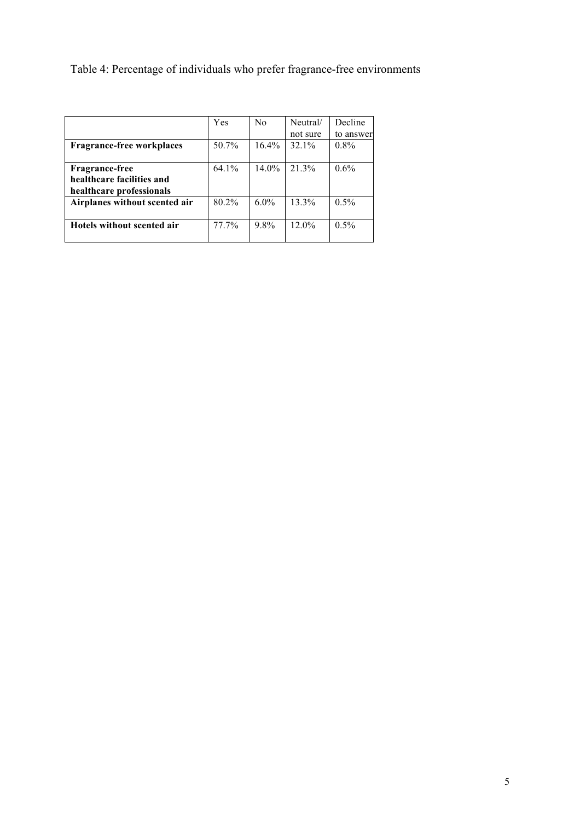Table 4: Percentage of individuals who prefer fragrance-free environments

|                                  | Yes      | N <sub>0</sub> | Neutral/ | Decline   |
|----------------------------------|----------|----------------|----------|-----------|
|                                  |          |                | not sure | to answer |
| <b>Fragrance-free workplaces</b> | 50.7%    | $16.4\%$       | 32.1%    | $0.8\%$   |
|                                  |          |                |          |           |
| <b>Fragrance-free</b>            | $64.1\%$ | $14.0\%$       | 21.3%    | 0.6%      |
| healthcare facilities and        |          |                |          |           |
| healthcare professionals         |          |                |          |           |
| Airplanes without scented air    | 80.2%    | $6.0\%$        | 13.3%    | $0.5\%$   |
|                                  |          |                |          |           |
| Hotels without scented air       | 77.7%    | 98%            | 12.0%    | $0.5\%$   |
|                                  |          |                |          |           |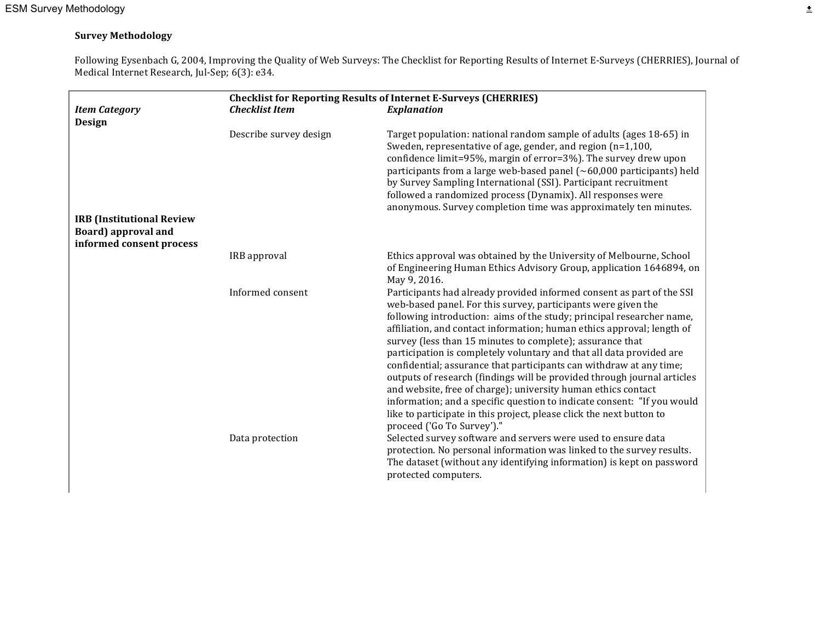#### **Survey Methodology**

Following Eysenbach G, 2004, Improving the Quality of Web Surveys: The Checklist for Reporting Results of Internet E-Surveys (CHERRIES), Journal of Medical Internet Research, Jul-Sep; 6(3): e34.

|                                                                                             | <b>Checklist for Reporting Results of Internet E-Surveys (CHERRIES)</b> |                                                                                                                                                                                                                                                                                                                                                                                                                                                                                                                                                                                                                                                                                                                                                                                                                                    |  |
|---------------------------------------------------------------------------------------------|-------------------------------------------------------------------------|------------------------------------------------------------------------------------------------------------------------------------------------------------------------------------------------------------------------------------------------------------------------------------------------------------------------------------------------------------------------------------------------------------------------------------------------------------------------------------------------------------------------------------------------------------------------------------------------------------------------------------------------------------------------------------------------------------------------------------------------------------------------------------------------------------------------------------|--|
| <b>Item Category</b><br>Design                                                              | <b>Checklist Item</b>                                                   | <b>Explanation</b>                                                                                                                                                                                                                                                                                                                                                                                                                                                                                                                                                                                                                                                                                                                                                                                                                 |  |
|                                                                                             | Describe survey design                                                  | Target population: national random sample of adults (ages 18-65) in<br>Sweden, representative of age, gender, and region (n=1,100,<br>confidence limit=95%, margin of error=3%). The survey drew upon<br>participants from a large web-based panel $(\sim 60,000$ participants) held<br>by Survey Sampling International (SSI). Participant recruitment<br>followed a randomized process (Dynamix). All responses were<br>anonymous. Survey completion time was approximately ten minutes.                                                                                                                                                                                                                                                                                                                                         |  |
| <b>IRB</b> (Institutional Review<br><b>Board</b> ) approval and<br>informed consent process |                                                                         |                                                                                                                                                                                                                                                                                                                                                                                                                                                                                                                                                                                                                                                                                                                                                                                                                                    |  |
|                                                                                             | IRB approval                                                            | Ethics approval was obtained by the University of Melbourne, School<br>of Engineering Human Ethics Advisory Group, application 1646894, on<br>May 9, 2016.                                                                                                                                                                                                                                                                                                                                                                                                                                                                                                                                                                                                                                                                         |  |
|                                                                                             | Informed consent                                                        | Participants had already provided informed consent as part of the SSI<br>web-based panel. For this survey, participants were given the<br>following introduction: aims of the study; principal researcher name,<br>affiliation, and contact information; human ethics approval; length of<br>survey (less than 15 minutes to complete); assurance that<br>participation is completely voluntary and that all data provided are<br>confidential; assurance that participants can withdraw at any time;<br>outputs of research (findings will be provided through journal articles<br>and website, free of charge); university human ethics contact<br>information; and a specific question to indicate consent: "If you would<br>like to participate in this project, please click the next button to<br>proceed ('Go To Survey')." |  |
|                                                                                             | Data protection                                                         | Selected survey software and servers were used to ensure data<br>protection. No personal information was linked to the survey results.<br>The dataset (without any identifying information) is kept on password<br>protected computers.                                                                                                                                                                                                                                                                                                                                                                                                                                                                                                                                                                                            |  |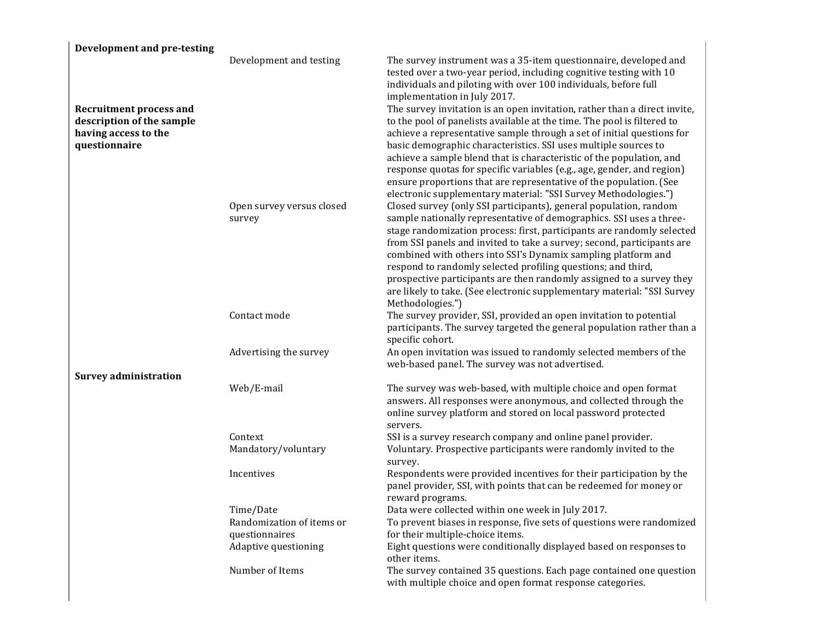| <b>Development and pre-testing</b>                                                                   |                                        |                                                                                                                                                                                                                                                                                                                                                                                                                                                                                                                                                                                                                                                                                                                                                                        |
|------------------------------------------------------------------------------------------------------|----------------------------------------|------------------------------------------------------------------------------------------------------------------------------------------------------------------------------------------------------------------------------------------------------------------------------------------------------------------------------------------------------------------------------------------------------------------------------------------------------------------------------------------------------------------------------------------------------------------------------------------------------------------------------------------------------------------------------------------------------------------------------------------------------------------------|
| <b>Recruitment process and</b><br>description of the sample<br>having access to the<br>questionnaire | Development and testing                | The survey instrument was a 35-item questionnaire, developed and<br>tested over a two-year period, including cognitive testing with 10<br>individuals and piloting with over 100 individuals, before full<br>implementation in July 2017.<br>The survey invitation is an open invitation, rather than a direct invite,<br>to the pool of panelists available at the time. The pool is filtered to<br>achieve a representative sample through a set of initial questions for<br>basic demographic characteristics. SSI uses multiple sources to<br>achieve a sample blend that is characteristic of the population, and<br>response quotas for specific variables (e.g., age, gender, and region)<br>ensure proportions that are representative of the population. (See |
|                                                                                                      | Open survey versus closed<br>survey    | electronic supplementary material: "SSI Survey Methodologies.")<br>Closed survey (only SSI participants), general population, random<br>sample nationally representative of demographics. SSI uses a three-<br>stage randomization process: first, participants are randomly selected<br>from SSI panels and invited to take a survey; second, participants are<br>combined with others into SSI's Dynamix sampling platform and<br>respond to randomly selected profiling questions; and third,<br>prospective participants are then randomly assigned to a survey they<br>are likely to take. (See electronic supplementary material: "SSI Survey<br>Methodologies.")                                                                                                |
|                                                                                                      | Contact mode                           | The survey provider, SSI, provided an open invitation to potential<br>participants. The survey targeted the general population rather than a<br>specific cohort.                                                                                                                                                                                                                                                                                                                                                                                                                                                                                                                                                                                                       |
|                                                                                                      | Advertising the survey                 | An open invitation was issued to randomly selected members of the<br>web-based panel. The survey was not advertised.                                                                                                                                                                                                                                                                                                                                                                                                                                                                                                                                                                                                                                                   |
| <b>Survey administration</b>                                                                         |                                        |                                                                                                                                                                                                                                                                                                                                                                                                                                                                                                                                                                                                                                                                                                                                                                        |
|                                                                                                      | Web/E-mail                             | The survey was web-based, with multiple choice and open format<br>answers. All responses were anonymous, and collected through the<br>online survey platform and stored on local password protected<br>servers.                                                                                                                                                                                                                                                                                                                                                                                                                                                                                                                                                        |
|                                                                                                      | Context                                | SSI is a survey research company and online panel provider.                                                                                                                                                                                                                                                                                                                                                                                                                                                                                                                                                                                                                                                                                                            |
|                                                                                                      | Mandatory/voluntary                    | Voluntary. Prospective participants were randomly invited to the<br>survey.                                                                                                                                                                                                                                                                                                                                                                                                                                                                                                                                                                                                                                                                                            |
|                                                                                                      | Incentives                             | Respondents were provided incentives for their participation by the<br>panel provider, SSI, with points that can be redeemed for money or<br>reward programs.                                                                                                                                                                                                                                                                                                                                                                                                                                                                                                                                                                                                          |
|                                                                                                      | Time/Date                              | Data were collected within one week in July 2017.                                                                                                                                                                                                                                                                                                                                                                                                                                                                                                                                                                                                                                                                                                                      |
|                                                                                                      | Randomization of items or              | To prevent biases in response, five sets of questions were randomized                                                                                                                                                                                                                                                                                                                                                                                                                                                                                                                                                                                                                                                                                                  |
|                                                                                                      | questionnaires<br>Adaptive questioning | for their multiple-choice items.<br>Eight questions were conditionally displayed based on responses to<br>other items.                                                                                                                                                                                                                                                                                                                                                                                                                                                                                                                                                                                                                                                 |
|                                                                                                      | Number of Items                        | The survey contained 35 questions. Each page contained one question<br>with multiple choice and open format response categories.                                                                                                                                                                                                                                                                                                                                                                                                                                                                                                                                                                                                                                       |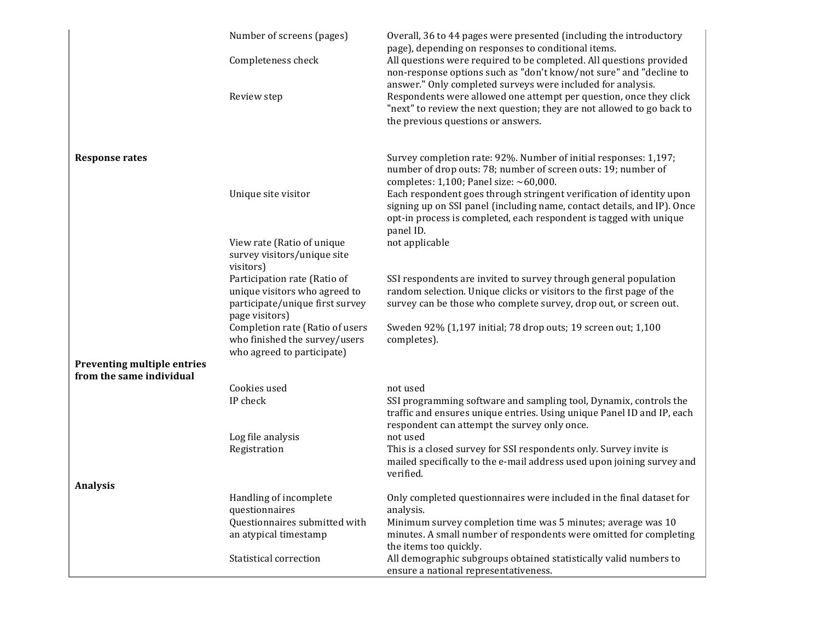|                                                         | Number of screens (pages)                                                                                          | Overall, 36 to 44 pages were presented (including the introductory<br>page), depending on responses to conditional items.                                                                                                          |
|---------------------------------------------------------|--------------------------------------------------------------------------------------------------------------------|------------------------------------------------------------------------------------------------------------------------------------------------------------------------------------------------------------------------------------|
|                                                         | Completeness check                                                                                                 | All questions were required to be completed. All questions provided<br>non-response options such as "don't know/not sure" and "decline to<br>answer." Only completed surveys were included for analysis.                           |
|                                                         | Review step                                                                                                        | Respondents were allowed one attempt per question, once they click<br>"next" to review the next question; they are not allowed to go back to<br>the previous questions or answers.                                                 |
| <b>Response rates</b>                                   |                                                                                                                    | Survey completion rate: 92%. Number of initial responses: 1,197;<br>number of drop outs: 78; number of screen outs: 19; number of<br>completes: $1,100$ ; Panel size: ~60,000.                                                     |
|                                                         | Unique site visitor                                                                                                | Each respondent goes through stringent verification of identity upon<br>signing up on SSI panel (including name, contact details, and IP). Once<br>opt-in process is completed, each respondent is tagged with unique<br>panel ID. |
|                                                         | View rate (Ratio of unique<br>survey visitors/unique site<br>visitors)                                             | not applicable                                                                                                                                                                                                                     |
|                                                         | Participation rate (Ratio of<br>unique visitors who agreed to<br>participate/unique first survey<br>page visitors) | SSI respondents are invited to survey through general population<br>random selection. Unique clicks or visitors to the first page of the<br>survey can be those who complete survey, drop out, or screen out.                      |
|                                                         | Completion rate (Ratio of users<br>who finished the survey/users<br>who agreed to participate)                     | Sweden 92% (1,197 initial; 78 drop outs; 19 screen out; 1,100<br>completes).                                                                                                                                                       |
| Preventing multiple entries<br>from the same individual |                                                                                                                    |                                                                                                                                                                                                                                    |
|                                                         | Cookies used                                                                                                       | not used                                                                                                                                                                                                                           |
|                                                         | IP check                                                                                                           | SSI programming software and sampling tool, Dynamix, controls the<br>traffic and ensures unique entries. Using unique Panel ID and IP, each<br>respondent can attempt the survey only once.                                        |
|                                                         | Log file analysis                                                                                                  | not used                                                                                                                                                                                                                           |
|                                                         | Registration                                                                                                       | This is a closed survey for SSI respondents only. Survey invite is<br>mailed specifically to the e-mail address used upon joining survey and<br>verified.                                                                          |
| Analysis                                                |                                                                                                                    |                                                                                                                                                                                                                                    |
|                                                         | Handling of incomplete<br>questionnaires                                                                           | Only completed questionnaires were included in the final dataset for<br>analysis.                                                                                                                                                  |
|                                                         | Questionnaires submitted with<br>an atypical timestamp                                                             | Minimum survey completion time was 5 minutes; average was 10<br>minutes. A small number of respondents were omitted for completing<br>the items too quickly.                                                                       |
|                                                         | Statistical correction                                                                                             | All demographic subgroups obtained statistically valid numbers to<br>ensure a national representativeness.                                                                                                                         |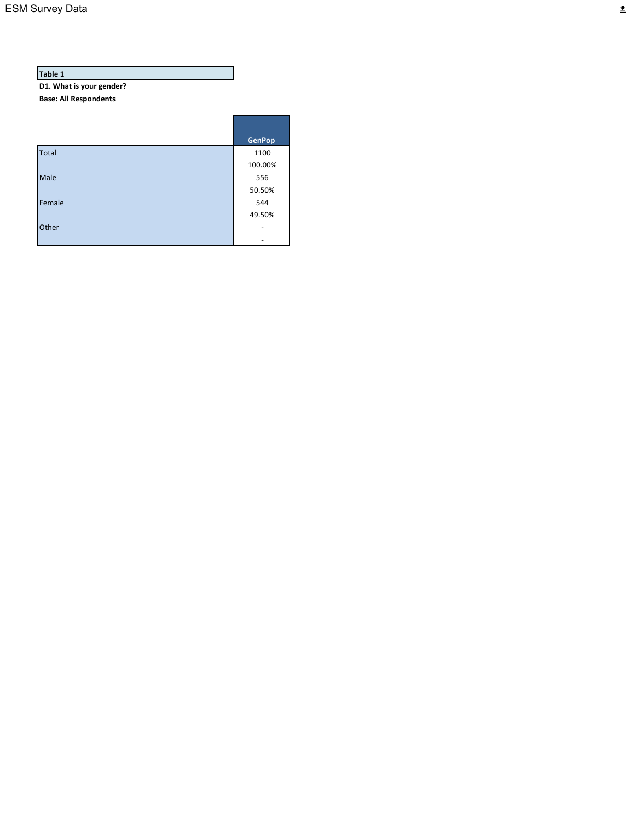D1. What is your gender?

**Base: All Respondents**

|              | <b>GenPop</b> |
|--------------|---------------|
| <b>Total</b> | 1100          |
|              | 100.00%       |
| Male         | 556           |
|              | 50.50%        |
| Female       | 544           |
|              | 49.50%        |
| Other        |               |
|              |               |

Г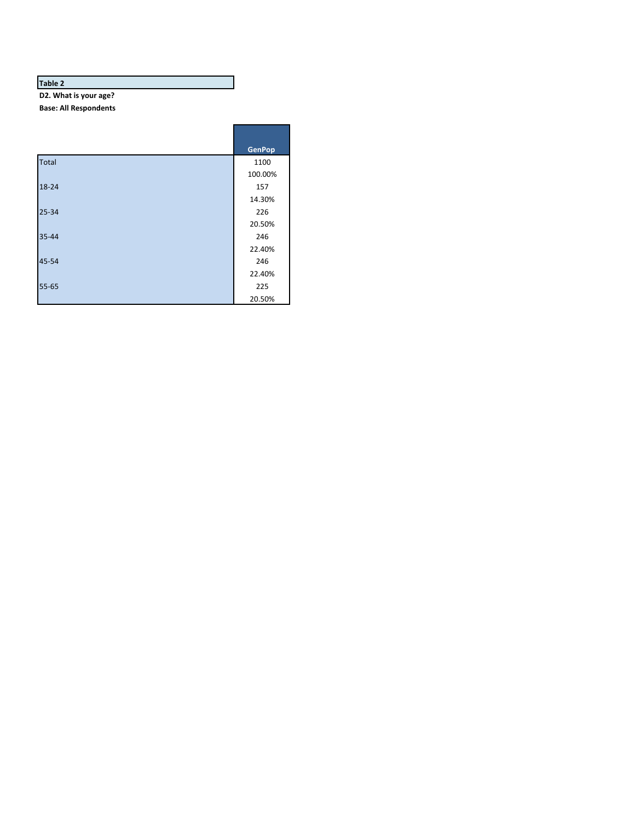D2. What is your age? **Base: All Respondents**

|              | <b>GenPop</b> |
|--------------|---------------|
| <b>Total</b> | 1100          |
|              | 100.00%       |
| 18-24        | 157           |
|              | 14.30%        |
| $25 - 34$    | 226           |
|              | 20.50%        |
| 35-44        | 246           |
|              | 22.40%        |
| 45-54        | 246           |
|              | 22.40%        |
| 55-65        | 225           |
|              | 20.50%        |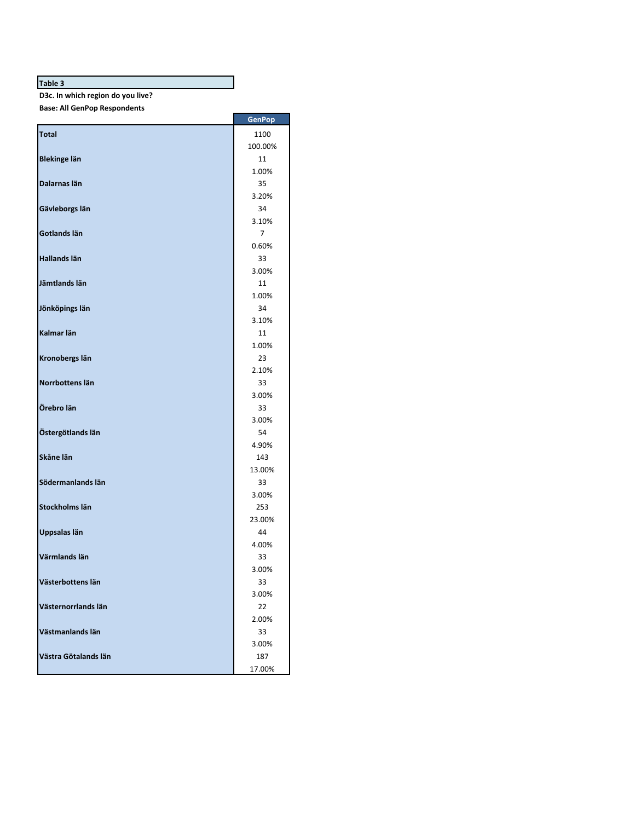**D3c. In which region do you live?**

**Base: All GenPop Respondents**

|                      | <b>GenPop</b> |
|----------------------|---------------|
| <b>Total</b>         | 1100          |
|                      | 100.00%       |
| <b>Blekinge län</b>  | 11            |
|                      | 1.00%         |
| Dalarnas län         | 35            |
|                      | 3.20%         |
| Gävleborgs län       | 34            |
|                      | 3.10%         |
| Gotlands län         | 7             |
|                      | 0.60%         |
| Hallands län         | 33            |
|                      | 3.00%         |
| Jämtlands län        | 11            |
|                      | 1.00%<br>34   |
| Jönköpings län       | 3.10%         |
| Kalmar län           | 11            |
|                      | 1.00%         |
| Kronobergs län       | 23            |
|                      | 2.10%         |
| Norrbottens län      | 33            |
|                      | 3.00%         |
| Örebro län           | 33            |
|                      | 3.00%         |
| Östergötlands län    | 54            |
|                      | 4.90%         |
| Skåne län            | 143           |
|                      | 13.00%        |
| Södermanlands län    | 33            |
|                      | 3.00%         |
| Stockholms län       | 253           |
| Uppsalas län         | 23.00%<br>44  |
|                      | 4.00%         |
| Värmlands län        | 33            |
|                      | 3.00%         |
| Västerbottens län    | 33            |
|                      | 3.00%         |
| Västernorrlands län  | 22            |
|                      | 2.00%         |
| Västmanlands län     | 33            |
|                      | 3.00%         |
| Västra Götalands län | 187           |
|                      | 17.00%        |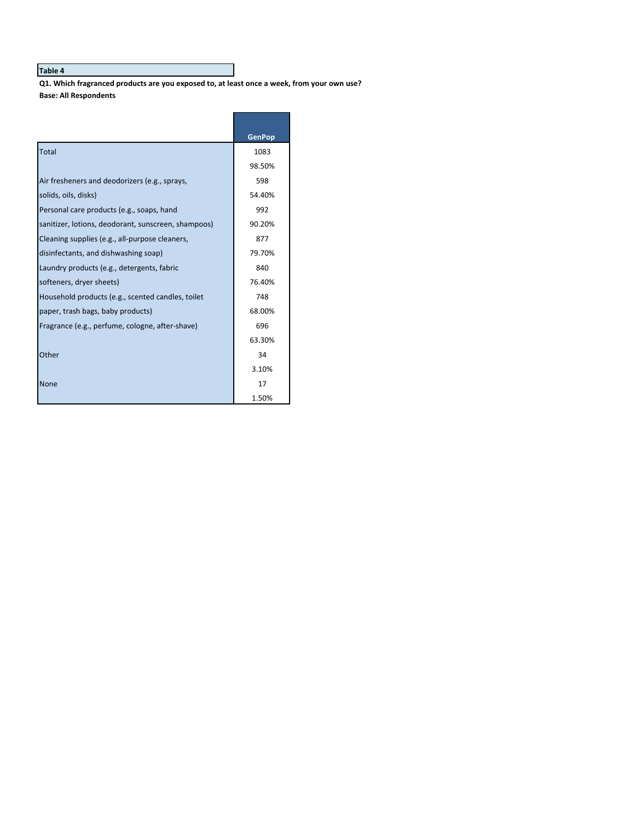Q1. Which fragranced products are you exposed to, at least once a week, from your own use? **Base: All Respondents**

|                                                     | <b>GenPop</b> |
|-----------------------------------------------------|---------------|
| Total                                               | 1083          |
|                                                     | 98.50%        |
| Air fresheners and deodorizers (e.g., sprays,       | 598           |
| solids, oils, disks)                                | 54.40%        |
| Personal care products (e.g., soaps, hand           | 992           |
| sanitizer, lotions, deodorant, sunscreen, shampoos) | 90.20%        |
| Cleaning supplies (e.g., all-purpose cleaners,      | 877           |
| disinfectants, and dishwashing soap)                | 79.70%        |
| Laundry products (e.g., detergents, fabric          | 840           |
| softeners, dryer sheets)                            | 76.40%        |
| Household products (e.g., scented candles, toilet   | 748           |
| paper, trash bags, baby products)                   | 68.00%        |
| Fragrance (e.g., perfume, cologne, after-shave)     | 696           |
|                                                     | 63.30%        |
| Other                                               | 34            |
|                                                     | 3.10%         |
| <b>None</b>                                         | 17            |
|                                                     | 1.50%         |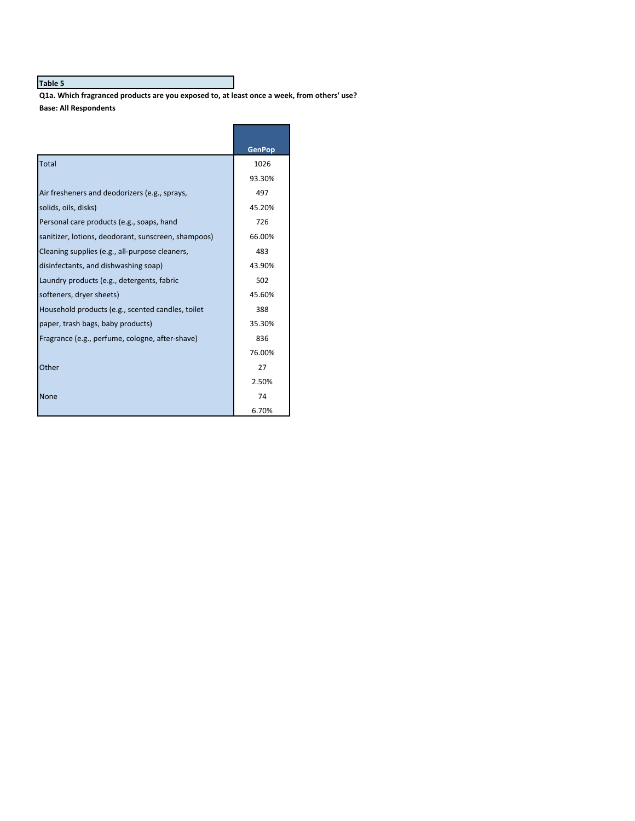Q1a. Which fragranced products are you exposed to, at least once a week, from others' use? **Base: All Respondents**

|                                                     | <b>GenPop</b> |
|-----------------------------------------------------|---------------|
| Total                                               | 1026          |
|                                                     | 93.30%        |
| Air fresheners and deodorizers (e.g., sprays,       | 497           |
| solids, oils, disks)                                | 45.20%        |
| Personal care products (e.g., soaps, hand           | 726           |
| sanitizer, lotions, deodorant, sunscreen, shampoos) | 66.00%        |
| Cleaning supplies (e.g., all-purpose cleaners,      | 483           |
| disinfectants, and dishwashing soap)                | 43.90%        |
| Laundry products (e.g., detergents, fabric          | 502           |
| softeners, dryer sheets)                            | 45.60%        |
| Household products (e.g., scented candles, toilet   | 388           |
| paper, trash bags, baby products)                   | 35.30%        |
| Fragrance (e.g., perfume, cologne, after-shave)     | 836           |
|                                                     | 76.00%        |
| Other                                               | 27            |
|                                                     | 2.50%         |
| <b>None</b>                                         | 74            |
|                                                     | 6.70%         |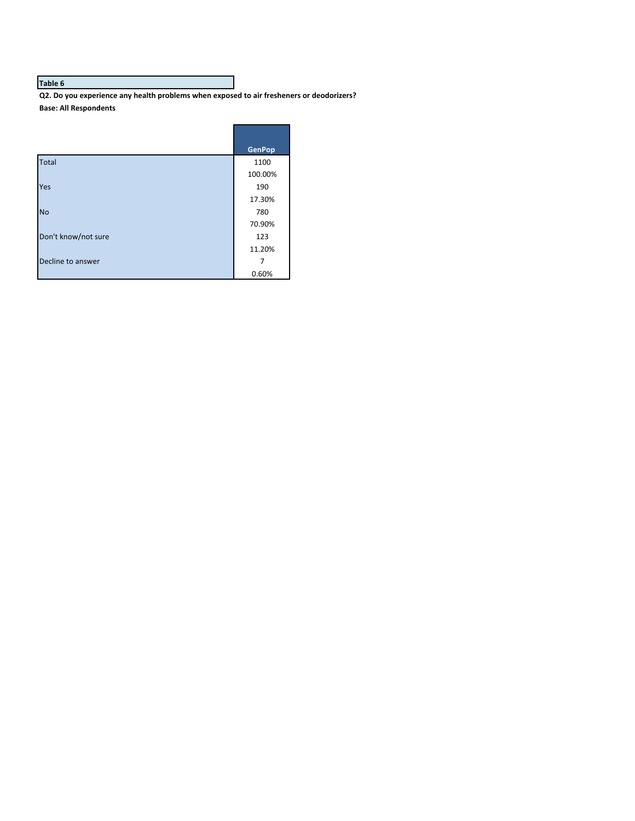Q2. Do you experience any health problems when exposed to air fresheners or deodorizers? **Base: All Respondents**

|                     | <b>GenPop</b> |
|---------------------|---------------|
| <b>Total</b>        | 1100          |
|                     | 100.00%       |
| Yes                 | 190           |
|                     | 17.30%        |
| <b>No</b>           | 780           |
|                     | 70.90%        |
| Don't know/not sure | 123           |
|                     | 11.20%        |
| Decline to answer   | 7             |
|                     | 0.60%         |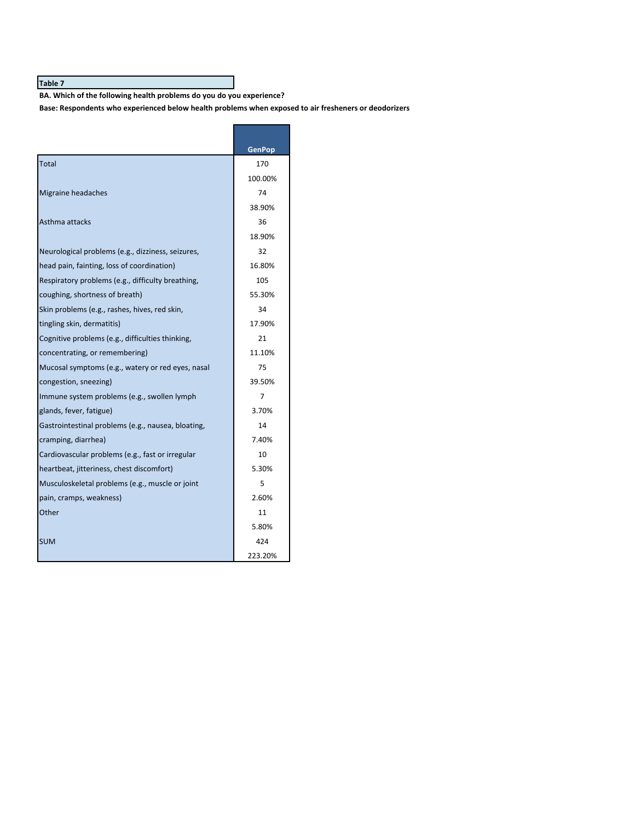BA. Which of the following health problems do you do you experience?

Base: Respondents who experienced below health problems when exposed to air fresheners or deodorizers

|                                                    | <b>GenPop</b> |
|----------------------------------------------------|---------------|
| Total                                              | 170           |
|                                                    | 100.00%       |
| Migraine headaches                                 | 74            |
|                                                    | 38.90%        |
| Asthma attacks                                     | 36            |
|                                                    | 18.90%        |
| Neurological problems (e.g., dizziness, seizures,  | 32            |
| head pain, fainting, loss of coordination)         | 16.80%        |
| Respiratory problems (e.g., difficulty breathing,  | 105           |
| coughing, shortness of breath)                     | 55.30%        |
| Skin problems (e.g., rashes, hives, red skin,      | 34            |
| tingling skin, dermatitis)                         | 17.90%        |
| Cognitive problems (e.g., difficulties thinking,   | 21            |
| concentrating, or remembering)                     | 11.10%        |
| Mucosal symptoms (e.g., watery or red eyes, nasal  | 75            |
| congestion, sneezing)                              | 39.50%        |
| Immune system problems (e.g., swollen lymph        | 7             |
| glands, fever, fatigue)                            | 3.70%         |
| Gastrointestinal problems (e.g., nausea, bloating, | 14            |
| cramping, diarrhea)                                | 7.40%         |
| Cardiovascular problems (e.g., fast or irregular   | 10            |
| heartbeat, jitteriness, chest discomfort)          | 5.30%         |
| Musculoskeletal problems (e.g., muscle or joint    | 5             |
| pain, cramps, weakness)                            | 2.60%         |
| Other                                              | 11            |
|                                                    | 5.80%         |
| <b>SUM</b>                                         | 424           |
|                                                    | 223.20%       |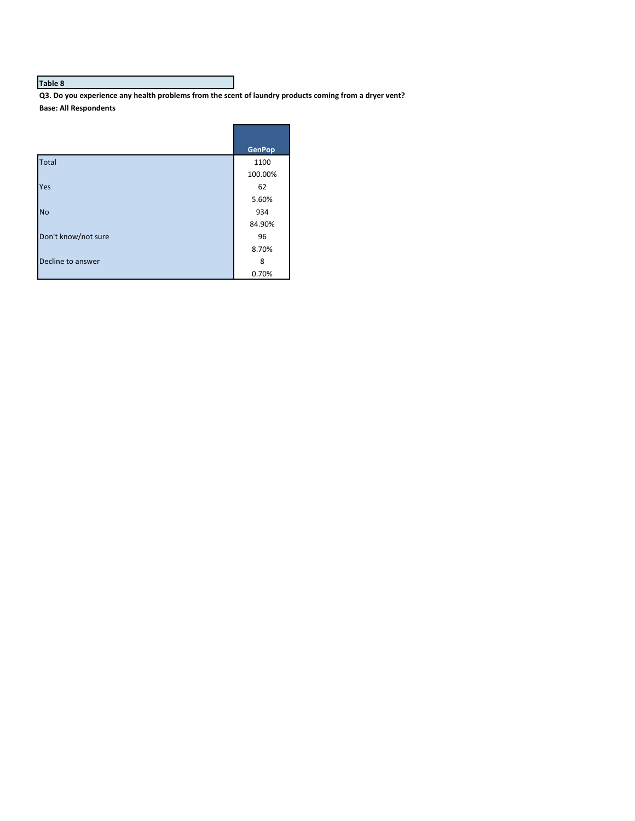Q3. Do you experience any health problems from the scent of laundry products coming from a dryer vent? **Base: All Respondents**

|                     | <b>GenPop</b> |
|---------------------|---------------|
| <b>Total</b>        | 1100          |
|                     | 100.00%       |
| Yes                 | 62            |
|                     | 5.60%         |
| <b>No</b>           | 934           |
|                     | 84.90%        |
| Don't know/not sure | 96            |
|                     | 8.70%         |
| Decline to answer   | 8             |
|                     | 0.70%         |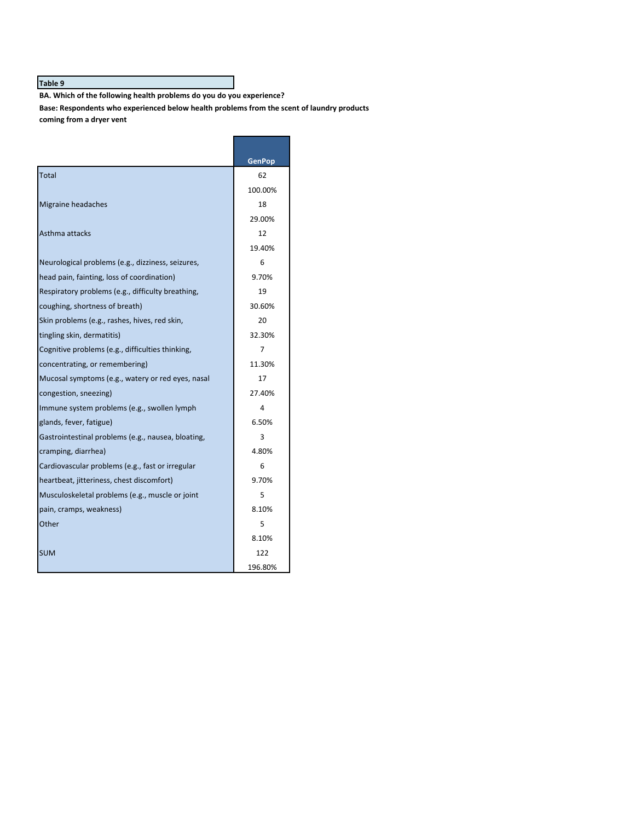BA. Which of the following health problems do you do you experience?

Base: Respondents who experienced below health problems from the scent of laundry products coming from a dryer vent

|                                                    | <b>GenPop</b> |
|----------------------------------------------------|---------------|
| Total                                              | 62            |
|                                                    | 100.00%       |
| Migraine headaches                                 | 18            |
|                                                    | 29.00%        |
| Asthma attacks                                     | 12            |
|                                                    | 19.40%        |
| Neurological problems (e.g., dizziness, seizures,  | 6             |
| head pain, fainting, loss of coordination)         | 9.70%         |
| Respiratory problems (e.g., difficulty breathing,  | 19            |
| coughing, shortness of breath)                     | 30.60%        |
| Skin problems (e.g., rashes, hives, red skin,      | 20            |
| tingling skin, dermatitis)                         | 32.30%        |
| Cognitive problems (e.g., difficulties thinking,   | 7             |
| concentrating, or remembering)                     | 11.30%        |
| Mucosal symptoms (e.g., watery or red eyes, nasal  | 17            |
| congestion, sneezing)                              | 27.40%        |
| Immune system problems (e.g., swollen lymph        | 4             |
| glands, fever, fatigue)                            | 6.50%         |
| Gastrointestinal problems (e.g., nausea, bloating, | 3             |
| cramping, diarrhea)                                | 4.80%         |
| Cardiovascular problems (e.g., fast or irregular   | 6             |
| heartbeat, jitteriness, chest discomfort)          | 9.70%         |
| Musculoskeletal problems (e.g., muscle or joint    | 5             |
| pain, cramps, weakness)                            | 8.10%         |
| Other                                              | 5             |
|                                                    | 8.10%         |
| <b>SUM</b>                                         | 122           |
|                                                    | 196.80%       |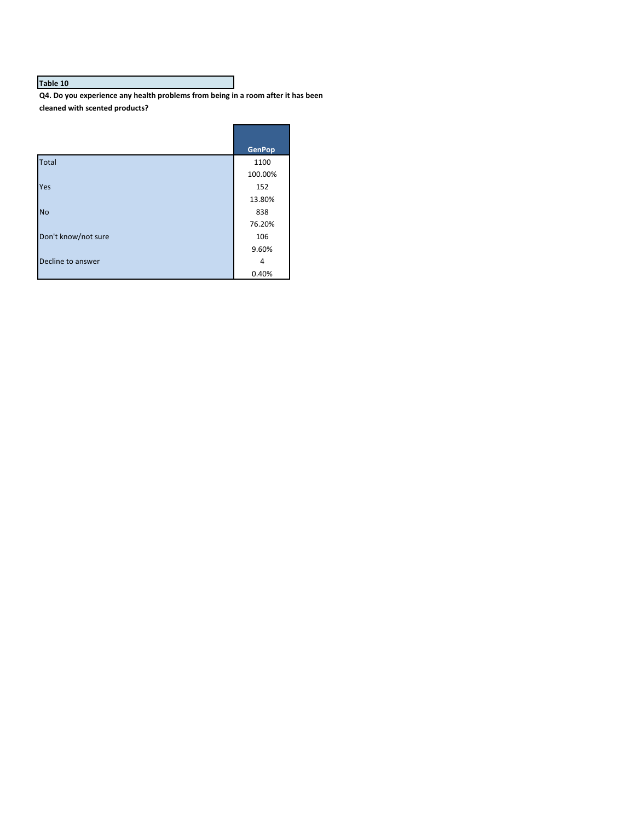**Q4.** Do you experience any health problems from being in a room after it has been **cleaned with scented products?**

г

J

|                     | <b>GenPop</b> |
|---------------------|---------------|
| <b>Total</b>        | 1100          |
|                     | 100.00%       |
| Yes                 | 152           |
|                     | 13.80%        |
| <b>No</b>           | 838           |
|                     | 76.20%        |
| Don't know/not sure | 106           |
|                     | 9.60%         |
| Decline to answer   | 4             |
|                     | 0.40%         |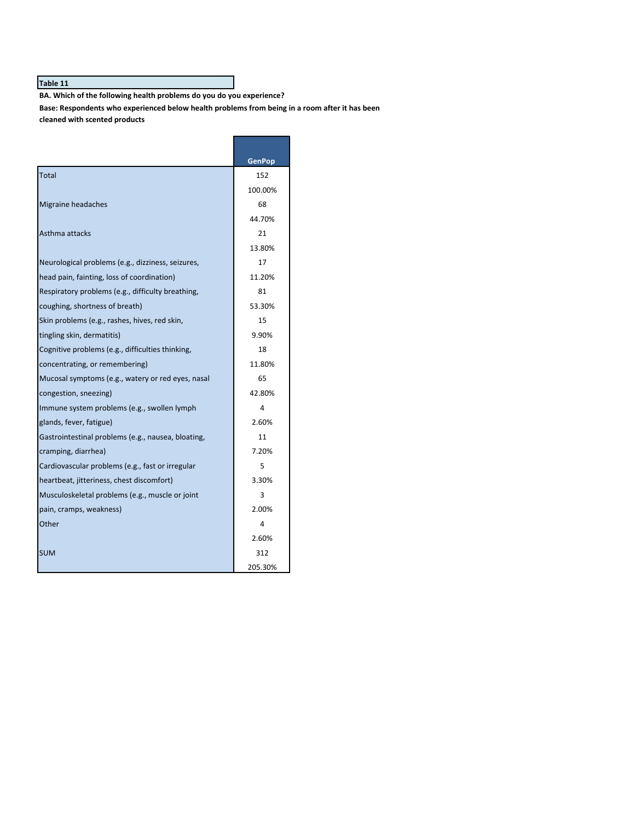BA. Which of the following health problems do you do you experience?

Base: Respondents who experienced below health problems from being in a room after it has been **cleaned with scented products**

|                                                    | GenPop  |
|----------------------------------------------------|---------|
| Total                                              | 152     |
|                                                    | 100.00% |
| Migraine headaches                                 | 68      |
|                                                    | 44.70%  |
| Asthma attacks                                     | 21      |
|                                                    | 13.80%  |
| Neurological problems (e.g., dizziness, seizures,  | 17      |
| head pain, fainting, loss of coordination)         | 11.20%  |
| Respiratory problems (e.g., difficulty breathing,  | 81      |
| coughing, shortness of breath)                     | 53.30%  |
| Skin problems (e.g., rashes, hives, red skin,      | 15      |
| tingling skin, dermatitis)                         | 9.90%   |
| Cognitive problems (e.g., difficulties thinking,   | 18      |
| concentrating, or remembering)                     | 11.80%  |
| Mucosal symptoms (e.g., watery or red eyes, nasal  | 65      |
| congestion, sneezing)                              | 42.80%  |
| Immune system problems (e.g., swollen lymph        | 4       |
| glands, fever, fatigue)                            | 2.60%   |
| Gastrointestinal problems (e.g., nausea, bloating, | 11      |
| cramping, diarrhea)                                | 7.20%   |
| Cardiovascular problems (e.g., fast or irregular   | 5       |
| heartbeat, jitteriness, chest discomfort)          | 3.30%   |
| Musculoskeletal problems (e.g., muscle or joint    | 3       |
| pain, cramps, weakness)                            | 2.00%   |
| Other                                              | 4       |
|                                                    | 2.60%   |
| <b>SUM</b>                                         | 312     |
|                                                    | 205.30% |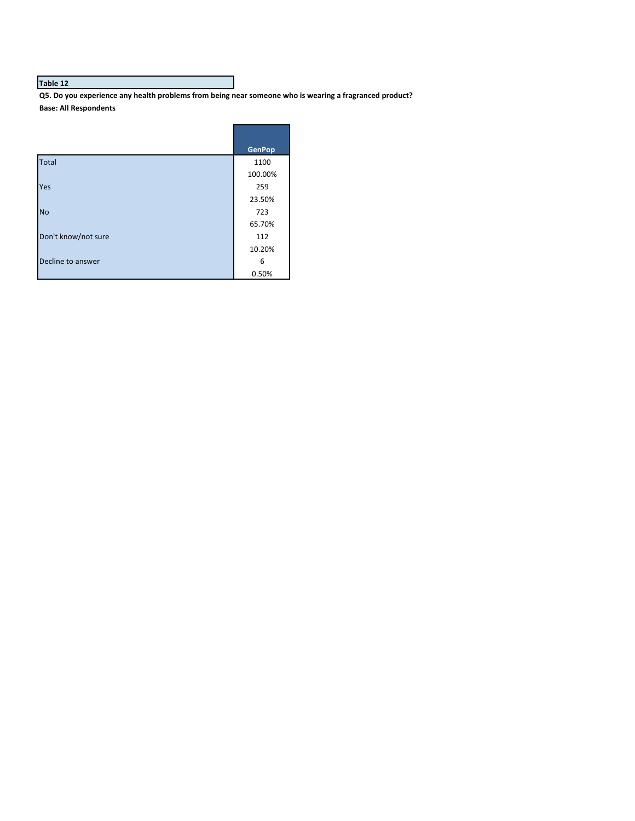Q5. Do you experience any health problems from being near someone who is wearing a fragranced product? **Base: All Respondents**

|                     | <b>GenPop</b> |
|---------------------|---------------|
| <b>Total</b>        | 1100          |
|                     | 100.00%       |
| Yes                 | 259           |
|                     | 23.50%        |
| <b>No</b>           | 723           |
|                     | 65.70%        |
| Don't know/not sure | 112           |
|                     | 10.20%        |
| Decline to answer   | 6             |
|                     | 0.50%         |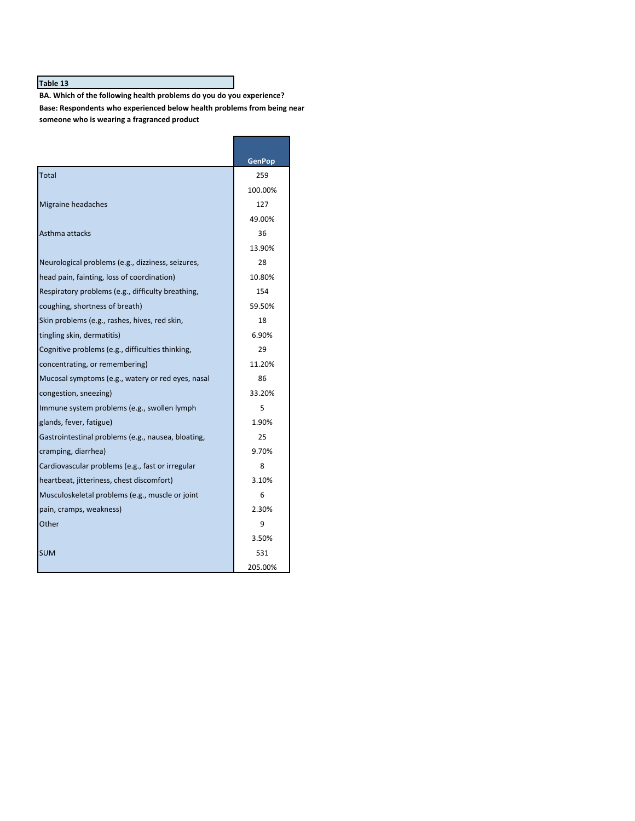BA. Which of the following health problems do you do you experience? Base: Respondents who experienced below health problems from being near someone who is wearing a fragranced product

|                                                    | GenPop  |
|----------------------------------------------------|---------|
| Total                                              | 259     |
|                                                    | 100.00% |
| Migraine headaches                                 | 127     |
|                                                    | 49.00%  |
| Asthma attacks                                     | 36      |
|                                                    | 13.90%  |
| Neurological problems (e.g., dizziness, seizures,  | 28      |
| head pain, fainting, loss of coordination)         | 10.80%  |
| Respiratory problems (e.g., difficulty breathing,  | 154     |
| coughing, shortness of breath)                     | 59.50%  |
| Skin problems (e.g., rashes, hives, red skin,      | 18      |
| tingling skin, dermatitis)                         | 6.90%   |
| Cognitive problems (e.g., difficulties thinking,   | 29      |
| concentrating, or remembering)                     | 11.20%  |
| Mucosal symptoms (e.g., watery or red eyes, nasal  | 86      |
| congestion, sneezing)                              | 33.20%  |
| Immune system problems (e.g., swollen lymph        | 5       |
| glands, fever, fatigue)                            | 1.90%   |
| Gastrointestinal problems (e.g., nausea, bloating, | 25      |
| cramping, diarrhea)                                | 9.70%   |
| Cardiovascular problems (e.g., fast or irregular   | 8       |
| heartbeat, jitteriness, chest discomfort)          | 3.10%   |
| Musculoskeletal problems (e.g., muscle or joint    | 6       |
| pain, cramps, weakness)                            | 2.30%   |
| Other                                              | 9       |
|                                                    | 3.50%   |
| <b>SUM</b>                                         | 531     |
|                                                    | 205.00% |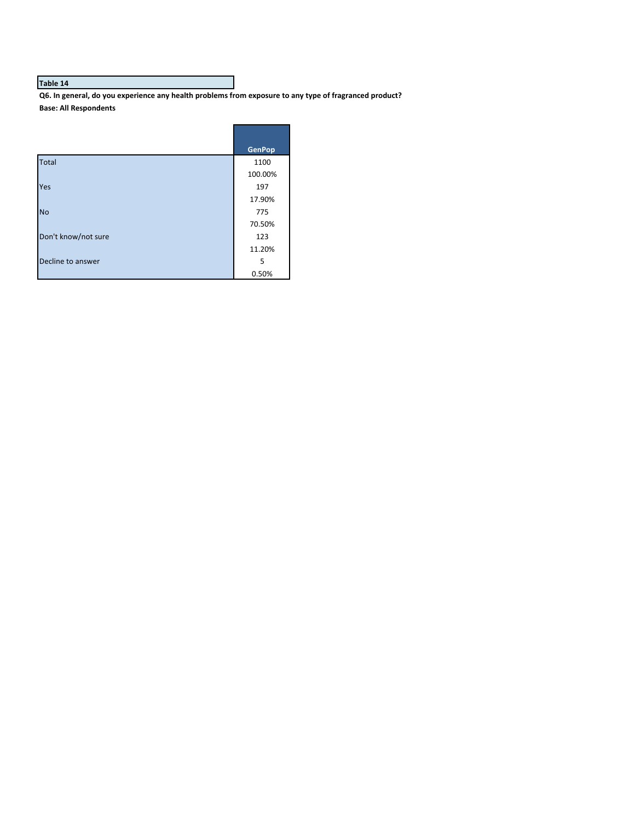Q6. In general, do you experience any health problems from exposure to any type of fragranced product? **Base: All Respondents**

|                     | <b>GenPop</b> |
|---------------------|---------------|
| <b>Total</b>        | 1100          |
|                     | 100.00%       |
| Yes                 | 197           |
|                     | 17.90%        |
| <b>No</b>           | 775           |
|                     | 70.50%        |
| Don't know/not sure | 123           |
|                     | 11.20%        |
| Decline to answer   | 5             |
|                     | 0.50%         |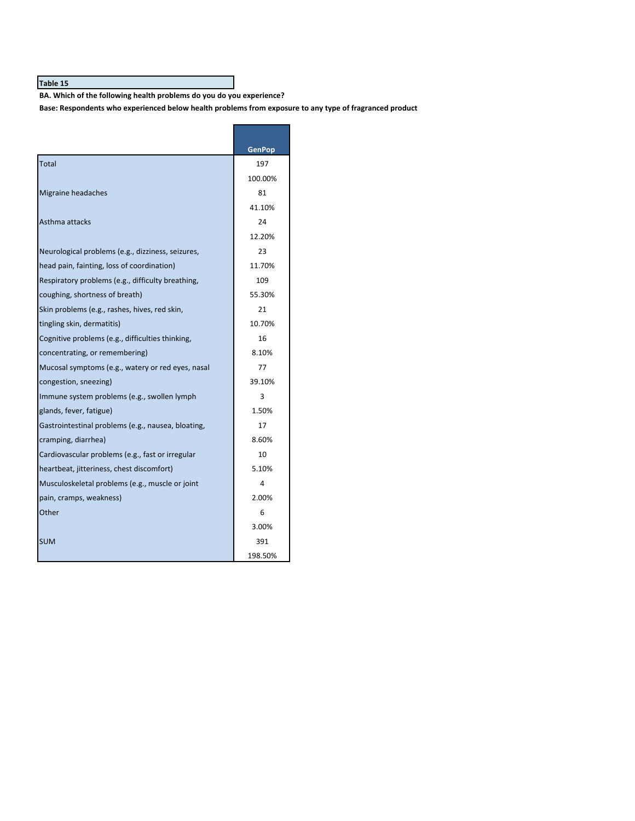BA. Which of the following health problems do you do you experience?

Base: Respondents who experienced below health problems from exposure to any type of fragranced product

|                                                    | GenPop  |
|----------------------------------------------------|---------|
| Total                                              | 197     |
|                                                    | 100.00% |
| Migraine headaches                                 | 81      |
|                                                    | 41.10%  |
| Asthma attacks                                     | 24      |
|                                                    | 12.20%  |
| Neurological problems (e.g., dizziness, seizures,  | 23      |
| head pain, fainting, loss of coordination)         | 11.70%  |
| Respiratory problems (e.g., difficulty breathing,  | 109     |
| coughing, shortness of breath)                     | 55.30%  |
| Skin problems (e.g., rashes, hives, red skin,      | 21      |
| tingling skin, dermatitis)                         | 10.70%  |
| Cognitive problems (e.g., difficulties thinking,   | 16      |
| concentrating, or remembering)                     | 8.10%   |
| Mucosal symptoms (e.g., watery or red eyes, nasal  | 77      |
| congestion, sneezing)                              | 39.10%  |
| Immune system problems (e.g., swollen lymph        | 3       |
| glands, fever, fatigue)                            | 1.50%   |
| Gastrointestinal problems (e.g., nausea, bloating, | 17      |
| cramping, diarrhea)                                | 8.60%   |
| Cardiovascular problems (e.g., fast or irregular   | 10      |
| heartbeat, jitteriness, chest discomfort)          | 5.10%   |
| Musculoskeletal problems (e.g., muscle or joint    | 4       |
| pain, cramps, weakness)                            | 2.00%   |
| Other                                              | 6       |
|                                                    | 3.00%   |
| <b>SUM</b>                                         | 391     |
|                                                    | 198.50% |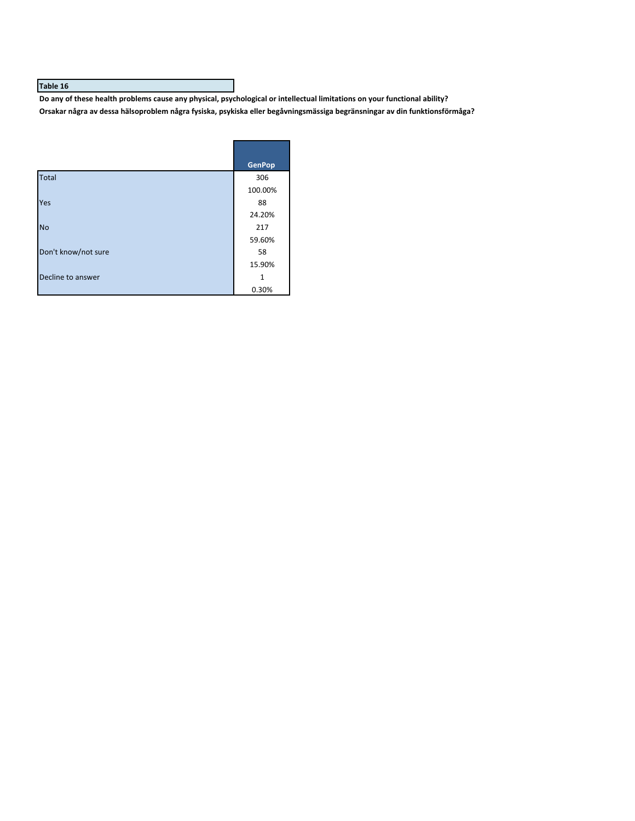Do any of these health problems cause any physical, psychological or intellectual limitations on your functional ability? Orsakar några av dessa hälsoproblem några fysiska, psykiska eller begåvningsmässiga begränsningar av din funktionsförmåga?

|                     | <b>GenPop</b> |
|---------------------|---------------|
| <b>Total</b>        | 306           |
|                     | 100.00%       |
| Yes                 | 88            |
|                     | 24.20%        |
| <b>No</b>           | 217           |
|                     | 59.60%        |
| Don't know/not sure | 58            |
|                     | 15.90%        |
| Decline to answer   | 1             |
|                     | 0.30%         |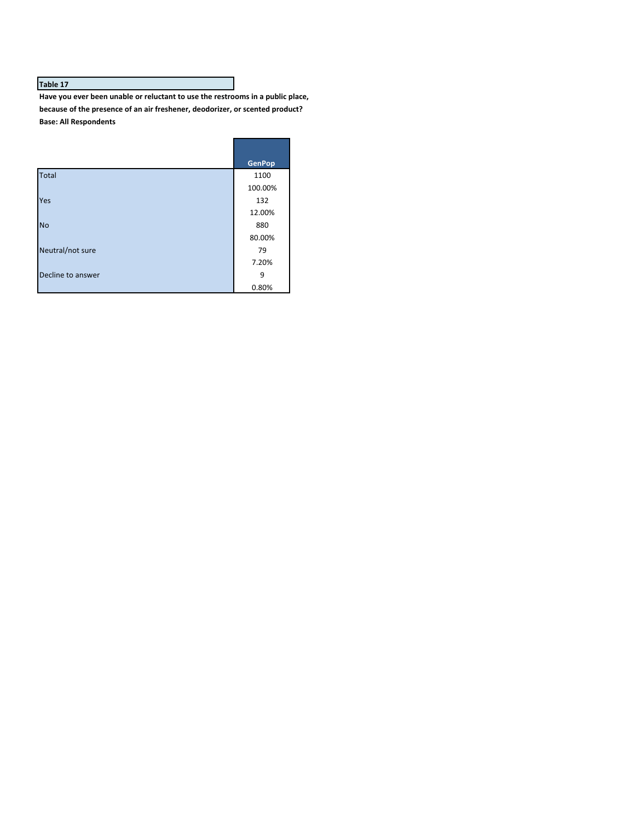Have you ever been unable or reluctant to use the restrooms in a public place, because of the presence of an air freshener, deodorizer, or scented product? **Base: All Respondents**

|                   | <b>GenPop</b> |
|-------------------|---------------|
| <b>Total</b>      | 1100          |
|                   | 100.00%       |
| Yes               | 132           |
|                   | 12.00%        |
| <b>No</b>         | 880           |
|                   | 80.00%        |
| Neutral/not sure  | 79            |
|                   | 7.20%         |
| Decline to answer | 9             |
|                   | 0.80%         |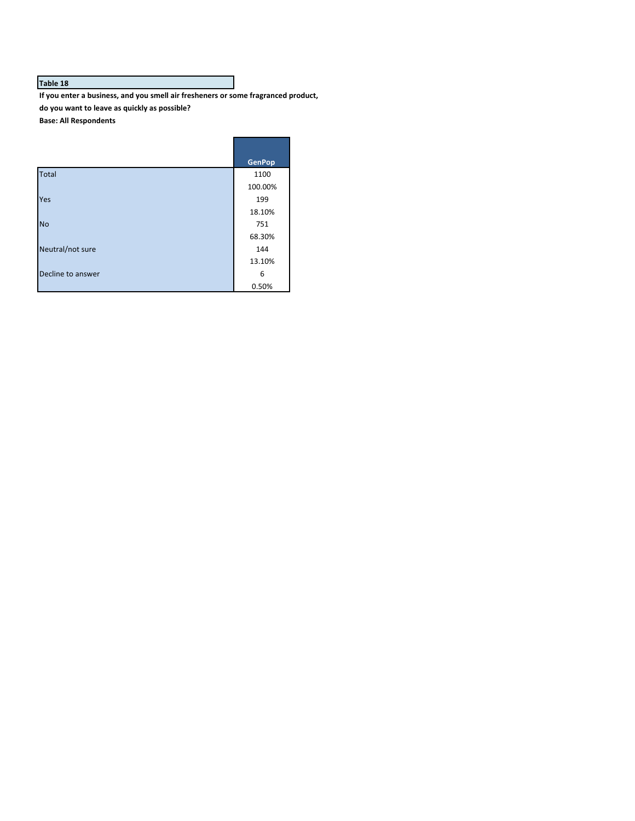If you enter a business, and you smell air fresheners or some fragranced product, **do you want to leave as quickly as possible?**

**Base: All Respondents**

|                   | <b>GenPop</b> |
|-------------------|---------------|
| <b>Total</b>      | 1100          |
|                   | 100.00%       |
| Yes               | 199           |
|                   | 18.10%        |
| <b>No</b>         | 751           |
|                   | 68.30%        |
| Neutral/not sure  | 144           |
|                   | 13.10%        |
| Decline to answer | 6             |
|                   | 0.50%         |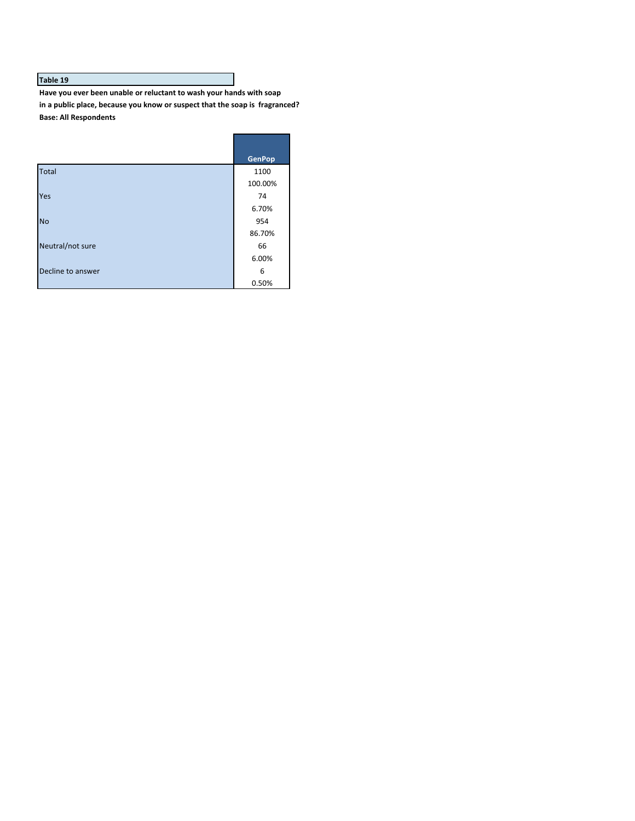Have you ever been unable or reluctant to wash your hands with soap in a public place, because you know or suspect that the soap is fragranced? **Base: All Respondents**

|                   | <b>GenPop</b> |
|-------------------|---------------|
| <b>Total</b>      | 1100          |
|                   | 100.00%       |
| Yes               | 74            |
|                   | 6.70%         |
| <b>No</b>         | 954           |
|                   | 86.70%        |
| Neutral/not sure  | 66            |
|                   | 6.00%         |
| Decline to answer | 6             |
|                   | 0.50%         |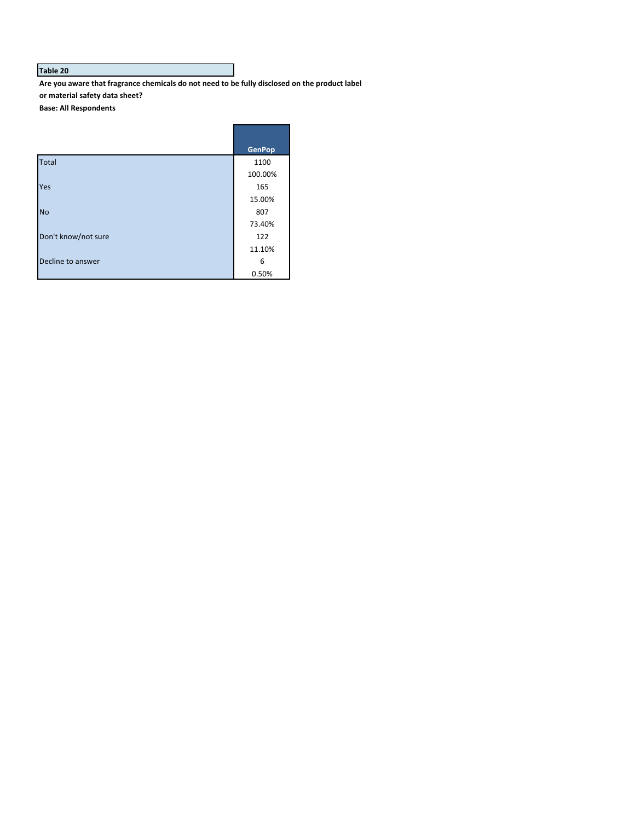Are you aware that fragrance chemicals do not need to be fully disclosed on the product label **or material safety data sheet?**

**Base: All Respondents**

|                     | <b>GenPop</b> |
|---------------------|---------------|
| <b>Total</b>        | 1100          |
|                     | 100.00%       |
| Yes                 | 165           |
|                     | 15.00%        |
| <b>No</b>           | 807           |
|                     | 73.40%        |
| Don't know/not sure | 122           |
|                     | 11.10%        |
| Decline to answer   | 6             |
|                     | 0.50%         |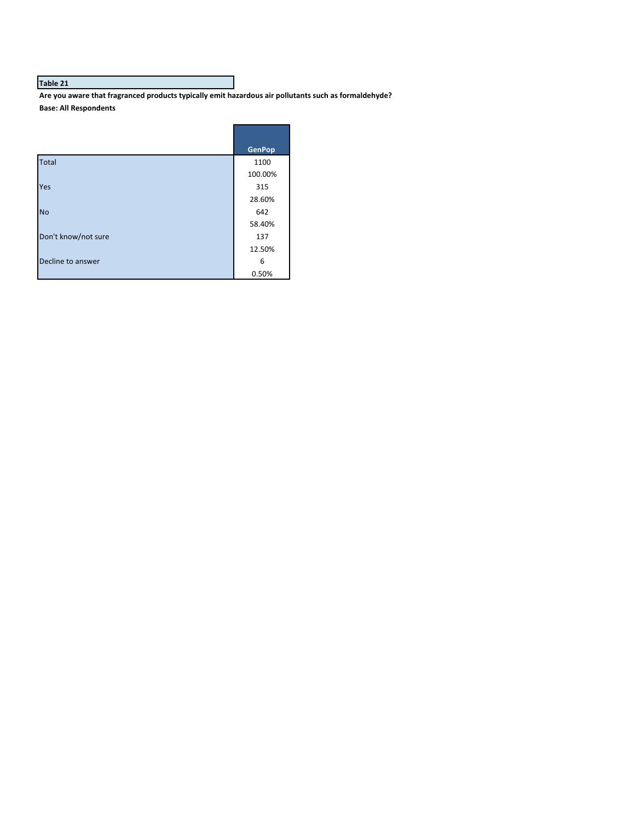Are you aware that fragranced products typically emit hazardous air pollutants such as formaldehyde? **Base: All Respondents**

|                     | <b>GenPop</b> |
|---------------------|---------------|
| <b>Total</b>        | 1100          |
|                     | 100.00%       |
| Yes                 | 315           |
|                     | 28.60%        |
| <b>No</b>           | 642           |
|                     | 58.40%        |
| Don't know/not sure | 137           |
|                     | 12.50%        |
| Decline to answer   | 6             |
|                     | 0.50%         |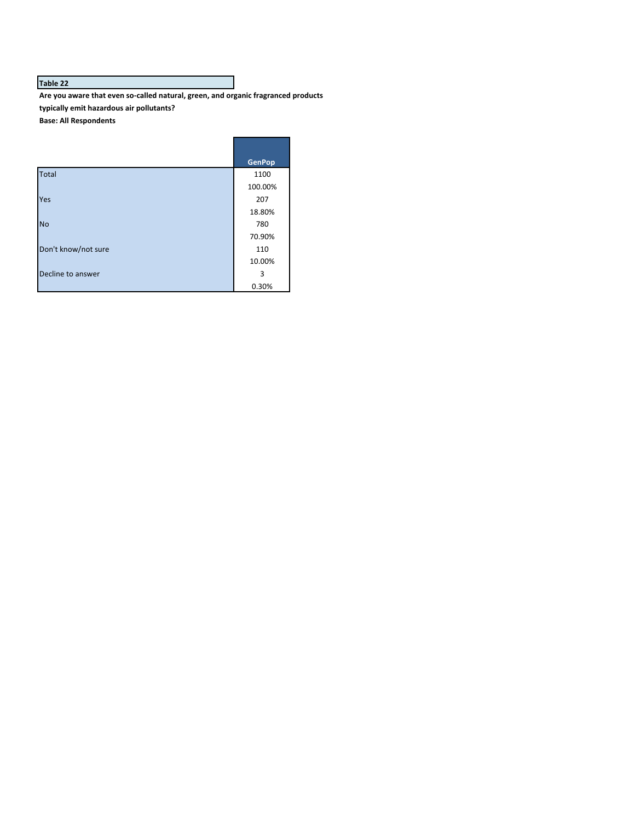Are you aware that even so-called natural, green, and organic fragranced products **typically emit hazardous air pollutants? Base: All Respondents**

**GenPop** Total 1100 and 1100 and 1100 and 1100 and 1100 and 1100 and 1100 and 1100 and 1100 and 1100 and 1100 and 1100 100.00% Yes 207 18.80% No 2008 and 2008 and 2008 and 2008 and 2008 and 2008 and 2008 and 2008 and 2008 and 2008 and 2008 and 2008 and 70.90% Don't know/not sure 110 10.00% Decline to answer 3 and 3 and 3 and 3 and 3 and 3 and 3 and 3 and 3 and 3 and 3 and 3 and 3 and 3 and 3 and 3 and 3 and 3 and 3 and 3 and 3 and 3 and 3 and 3 and 3 and 3 and 3 and 3 and 3 and 3 and 3 and 3 and 3 and 3 and 0.30%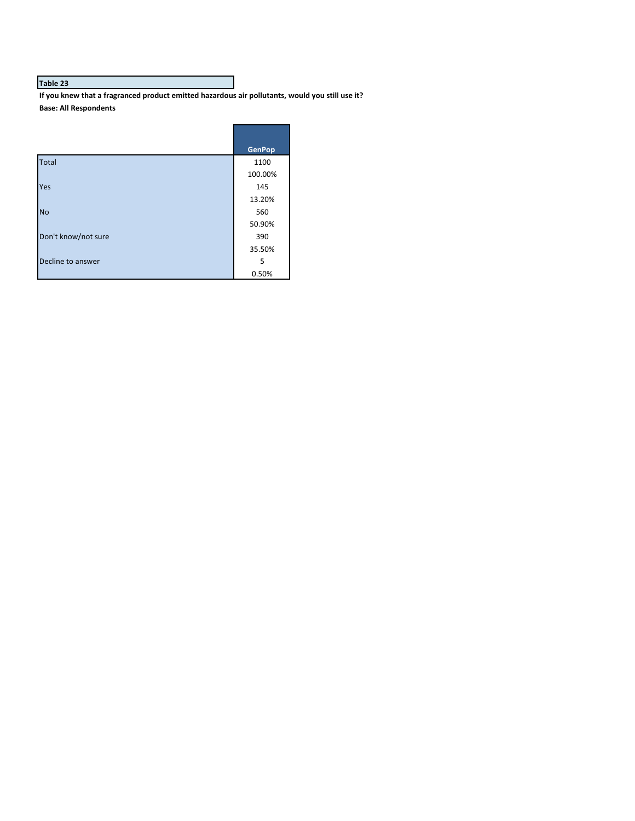If you knew that a fragranced product emitted hazardous air pollutants, would you still use it? **Base: All Respondents**

|                     | <b>GenPop</b> |
|---------------------|---------------|
| <b>Total</b>        | 1100          |
|                     | 100.00%       |
| Yes                 | 145           |
|                     | 13.20%        |
| <b>No</b>           | 560           |
|                     | 50.90%        |
| Don't know/not sure | 390           |
|                     | 35.50%        |
| Decline to answer   | 5             |
|                     | 0.50%         |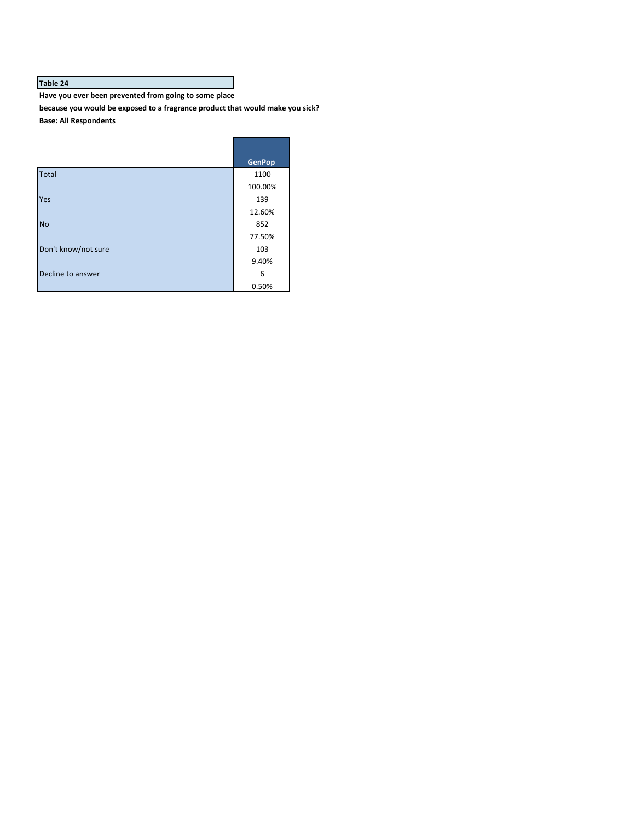Have you ever been prevented from going to some place

because you would be exposed to a fragrance product that would make you sick? **Base: All Respondents**

|                     | <b>GenPop</b> |
|---------------------|---------------|
| <b>Total</b>        | 1100          |
|                     | 100.00%       |
| Yes                 | 139           |
|                     | 12.60%        |
| <b>No</b>           | 852           |
|                     | 77.50%        |
| Don't know/not sure | 103           |
|                     | 9.40%         |
| Decline to answer   | 6             |
|                     | 0.50%         |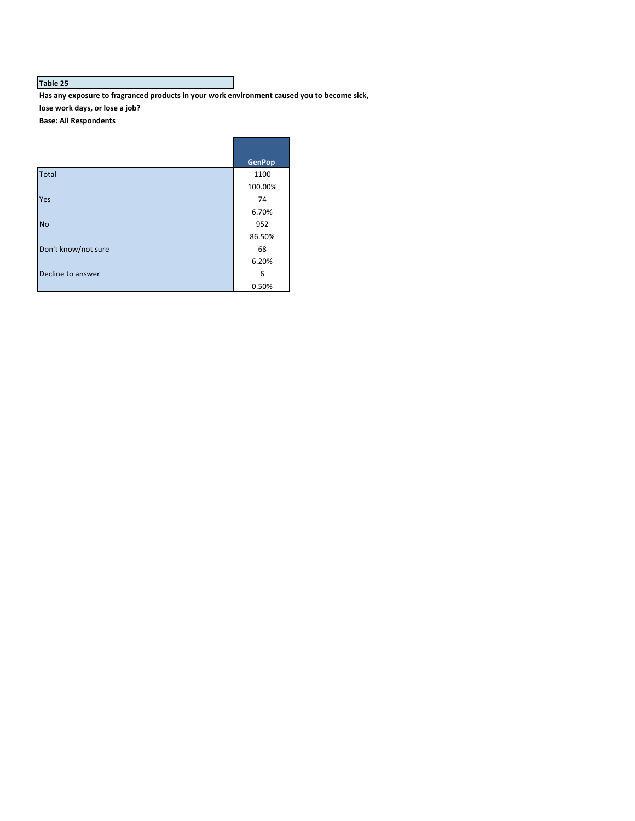Has any exposure to fragranced products in your work environment caused you to become sick, lose work days, or lose a job?

**Base: All Respondents**

|                     | <b>GenPop</b> |
|---------------------|---------------|
| <b>Total</b>        | 1100          |
|                     | 100.00%       |
| <b>Yes</b>          | 74            |
|                     | 6.70%         |
| <b>No</b>           | 952           |
|                     | 86.50%        |
| Don't know/not sure | 68            |
|                     | 6.20%         |
| Decline to answer   | 6             |
|                     | 0.50%         |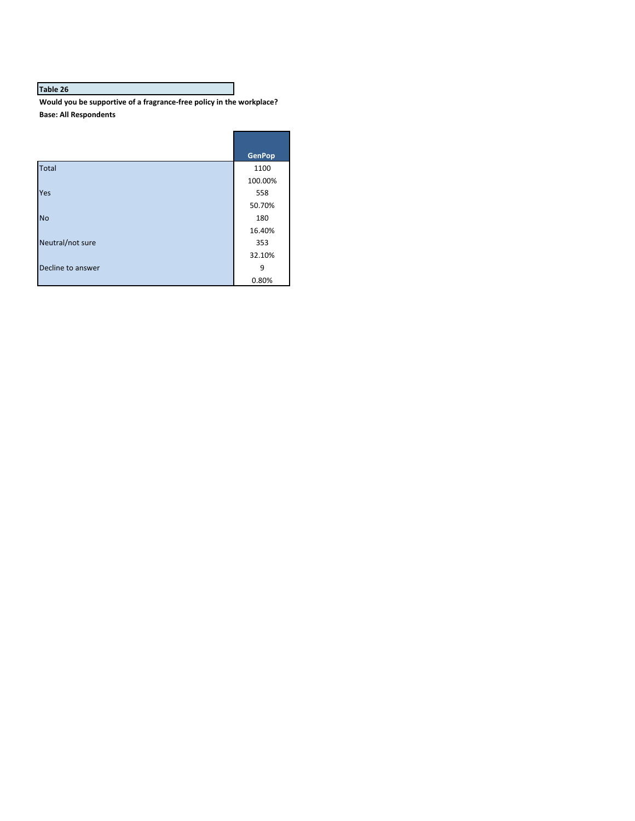Would you be supportive of a fragrance-free policy in the workplace? **Base: All Respondents**

|                   | <b>GenPop</b> |
|-------------------|---------------|
| Total             | 1100          |
|                   | 100.00%       |
| Yes               | 558           |
|                   | 50.70%        |
| <b>No</b>         | 180           |
|                   | 16.40%        |
| Neutral/not sure  | 353           |
|                   | 32.10%        |
| Decline to answer | 9             |
|                   | 0.80%         |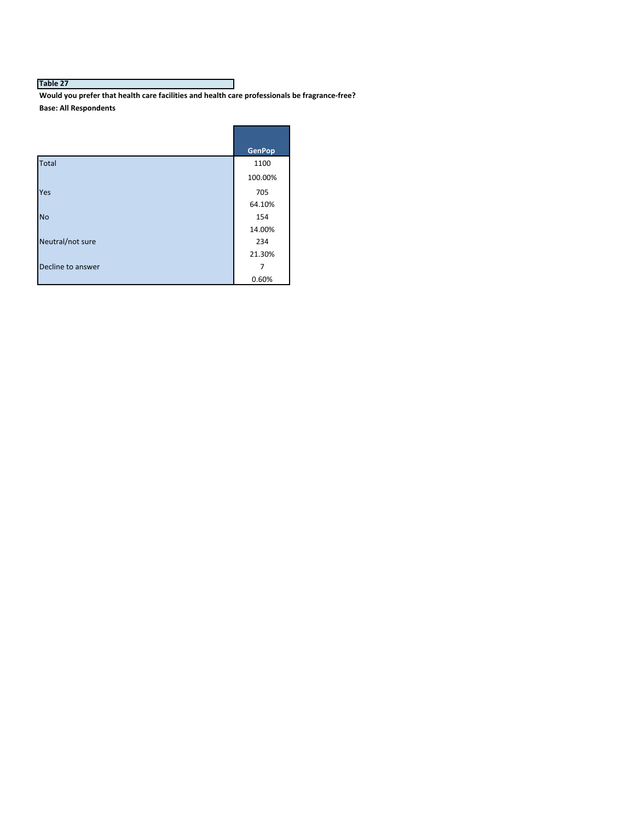Would you prefer that health care facilities and health care professionals be fragrance-free? **Base: All Respondents**

|                   | <b>GenPop</b> |
|-------------------|---------------|
| <b>Total</b>      | 1100          |
|                   | 100.00%       |
| Yes               | 705           |
|                   | 64.10%        |
| <b>No</b>         | 154           |
|                   | 14.00%        |
| Neutral/not sure  | 234           |
|                   | 21.30%        |
| Decline to answer | 7             |
|                   | 0.60%         |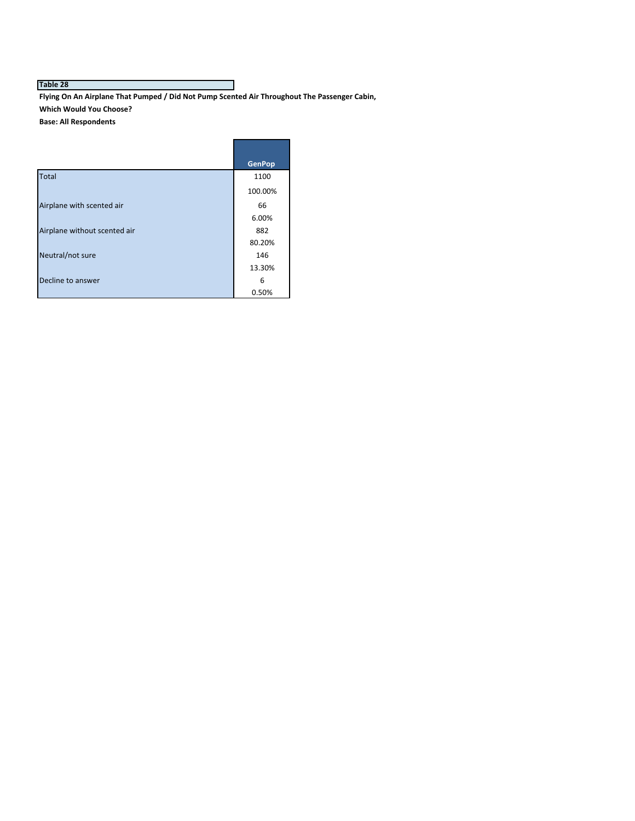Flying On An Airplane That Pumped / Did Not Pump Scented Air Throughout The Passenger Cabin, **Which Would You Choose?**

**Base: All Respondents**

|                              | <b>GenPop</b> |
|------------------------------|---------------|
| Total                        | 1100          |
|                              | 100.00%       |
| Airplane with scented air    | 66            |
|                              | 6.00%         |
| Airplane without scented air | 882           |
|                              | 80.20%        |
| Neutral/not sure             | 146           |
|                              | 13.30%        |
| Decline to answer            | 6             |
|                              | 0.50%         |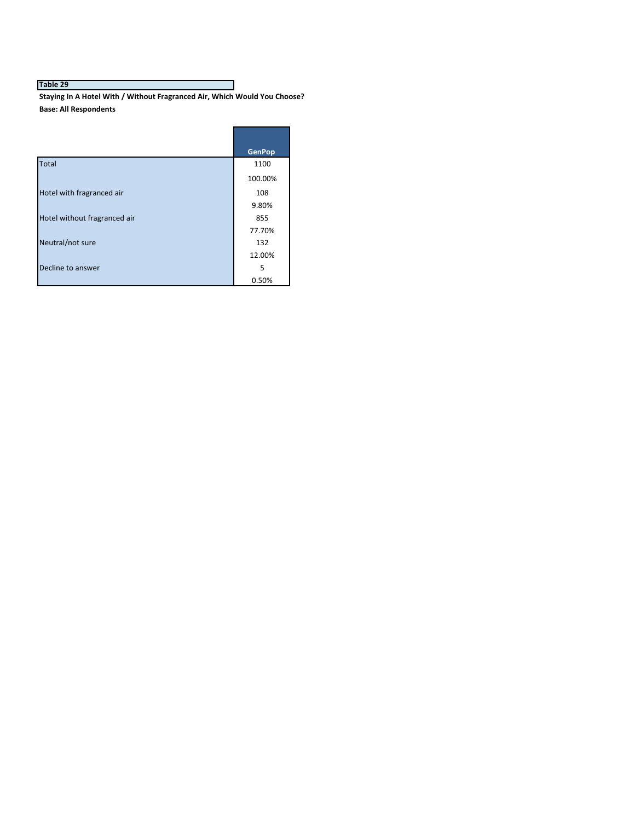Staying In A Hotel With / Without Fragranced Air, Which Would You Choose? **Base: All Respondents**

|                              | <b>GenPop</b> |
|------------------------------|---------------|
| Total                        | 1100          |
|                              | 100.00%       |
| Hotel with fragranced air    | 108           |
|                              | 9.80%         |
| Hotel without fragranced air | 855           |
|                              | 77.70%        |
| Neutral/not sure             | 132           |
|                              | 12.00%        |
| Decline to answer            | 5             |
|                              | 0.50%         |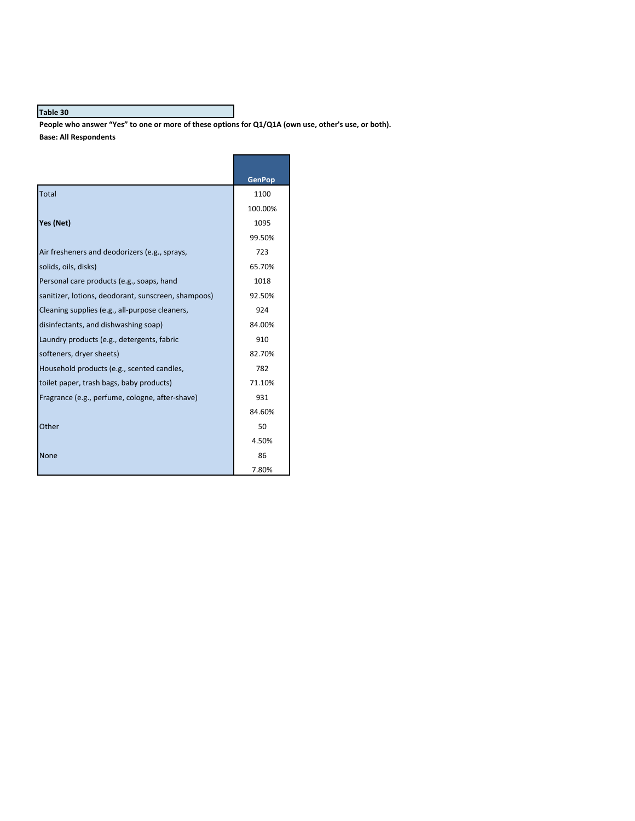People who answer "Yes" to one or more of these options for Q1/Q1A (own use, other's use, or both). **Base: All Respondents**

|                                                     | <b>GenPop</b> |
|-----------------------------------------------------|---------------|
| Total                                               | 1100          |
|                                                     | 100.00%       |
| Yes (Net)                                           | 1095          |
|                                                     | 99.50%        |
| Air fresheners and deodorizers (e.g., sprays,       | 723           |
| solids, oils, disks)                                | 65.70%        |
| Personal care products (e.g., soaps, hand           | 1018          |
| sanitizer, lotions, deodorant, sunscreen, shampoos) | 92.50%        |
| Cleaning supplies (e.g., all-purpose cleaners,      | 924           |
| disinfectants, and dishwashing soap)                | 84.00%        |
| Laundry products (e.g., detergents, fabric          | 910           |
| softeners, dryer sheets)                            | 82.70%        |
| Household products (e.g., scented candles,          | 782           |
| toilet paper, trash bags, baby products)            | 71.10%        |
| Fragrance (e.g., perfume, cologne, after-shave)     | 931           |
|                                                     | 84.60%        |
| Other                                               | 50            |
|                                                     | 4.50%         |
| None                                                | 86            |
|                                                     | 7.80%         |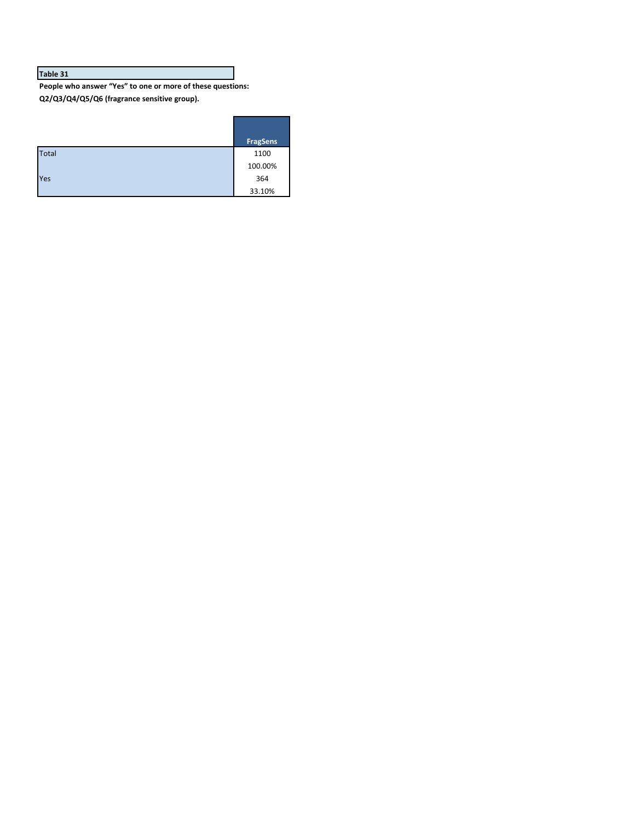People who answer "Yes" to one or more of these questions: Q2/Q3/Q4/Q5/Q6 (fragrance sensitive group).

|              | <b>FragSens</b> |
|--------------|-----------------|
| <b>Total</b> | 1100            |
|              | 100.00%         |
| Yes          | 364             |
|              | 33.10%          |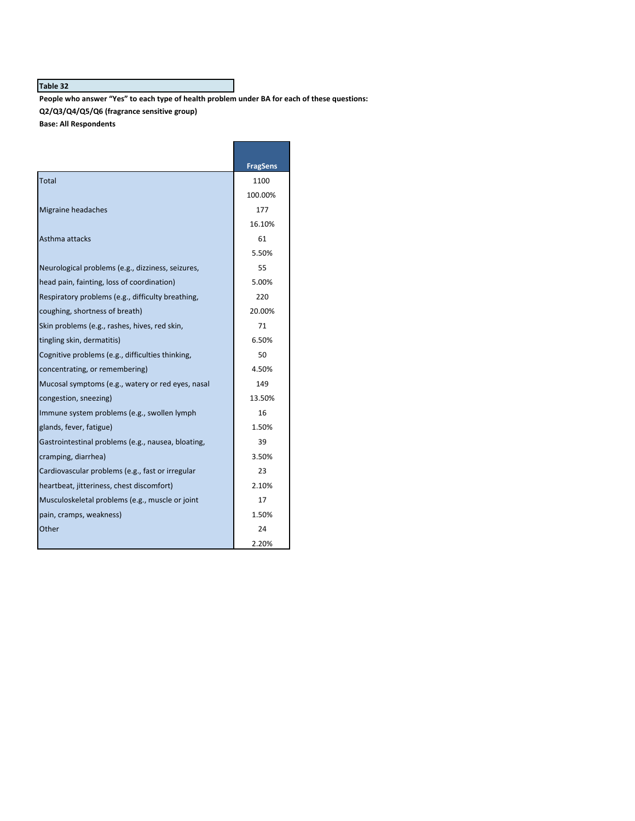People who answer "Yes" to each type of health problem under BA for each of these questions:

**Q2/Q3/Q4/Q5/Q6 (fragrance sensitive group)**

**Base: All Respondents**

|                                                    | <b>FragSens</b> |
|----------------------------------------------------|-----------------|
| <b>Total</b>                                       | 1100            |
|                                                    | 100.00%         |
| Migraine headaches                                 | 177             |
|                                                    | 16.10%          |
| Asthma attacks                                     | 61              |
|                                                    | 5.50%           |
| Neurological problems (e.g., dizziness, seizures,  | 55              |
| head pain, fainting, loss of coordination)         | 5.00%           |
| Respiratory problems (e.g., difficulty breathing,  | 220             |
| coughing, shortness of breath)                     | 20.00%          |
| Skin problems (e.g., rashes, hives, red skin,      | 71              |
| tingling skin, dermatitis)                         | 6.50%           |
| Cognitive problems (e.g., difficulties thinking,   | 50              |
| concentrating, or remembering)                     | 4.50%           |
| Mucosal symptoms (e.g., watery or red eyes, nasal  | 149             |
| congestion, sneezing)                              | 13.50%          |
| Immune system problems (e.g., swollen lymph        | 16              |
| glands, fever, fatigue)                            | 1.50%           |
| Gastrointestinal problems (e.g., nausea, bloating, | 39              |
| cramping, diarrhea)                                | 3.50%           |
| Cardiovascular problems (e.g., fast or irregular   | 23              |
| heartbeat, jitteriness, chest discomfort)          | 2.10%           |
| Musculoskeletal problems (e.g., muscle or joint    | 17              |
| pain, cramps, weakness)                            | 1.50%           |
| Other                                              | 24              |
|                                                    | 2.20%           |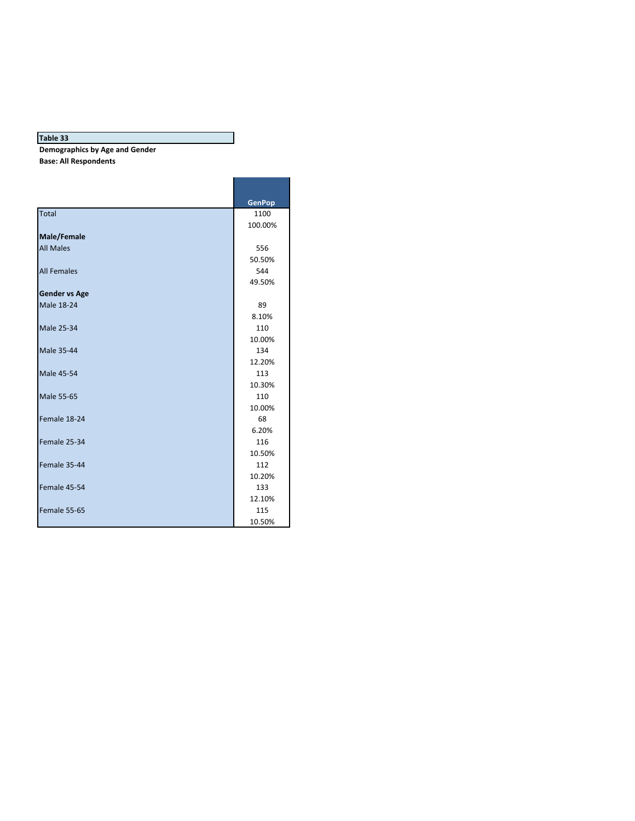**Demographics by Age and Gender** 

**Base: All Respondents**

|                      | <b>GenPop</b> |
|----------------------|---------------|
| Total                | 1100          |
|                      | 100.00%       |
| <b>Male/Female</b>   |               |
| <b>All Males</b>     | 556           |
|                      | 50.50%        |
| <b>All Females</b>   | 544           |
|                      | 49.50%        |
| <b>Gender vs Age</b> |               |
| <b>Male 18-24</b>    | 89            |
|                      | 8.10%         |
| <b>Male 25-34</b>    | 110           |
|                      | 10.00%        |
| <b>Male 35-44</b>    | 134           |
|                      | 12.20%        |
| <b>Male 45-54</b>    | 113           |
|                      | 10.30%        |
| <b>Male 55-65</b>    | 110           |
|                      | 10.00%        |
| Female 18-24         | 68            |
|                      | 6.20%         |
| Female 25-34         | 116           |
|                      | 10.50%        |
| Female 35-44         | 112           |
|                      | 10.20%        |
| Female 45-54         | 133           |
|                      | 12.10%        |
| Female 55-65         | 115           |
|                      | 10.50%        |